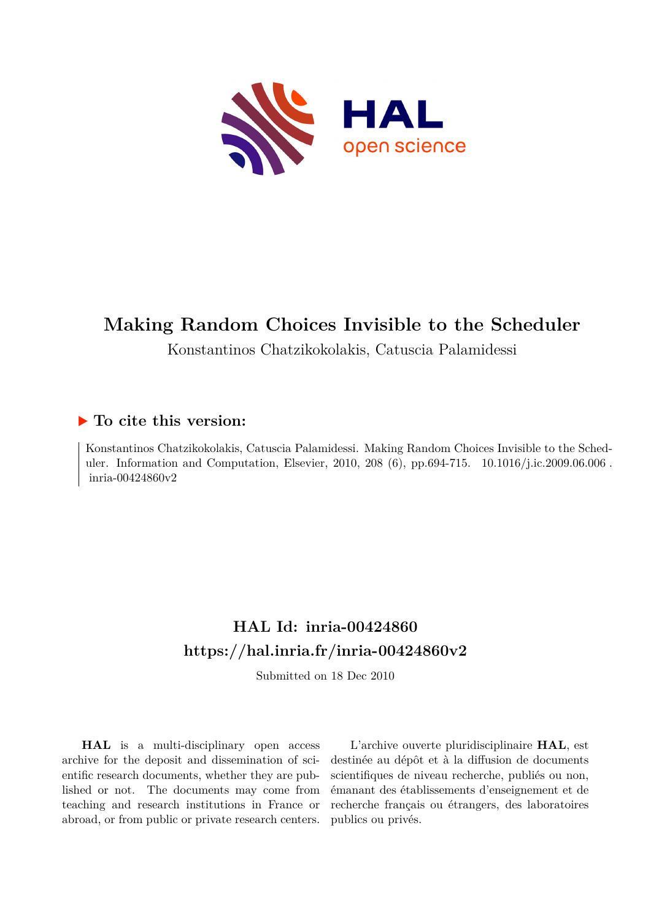

# **Making Random Choices Invisible to the Scheduler**

Konstantinos Chatzikokolakis, Catuscia Palamidessi

## **To cite this version:**

Konstantinos Chatzikokolakis, Catuscia Palamidessi. Making Random Choices Invisible to the Scheduler. Information and Computation, Elsevier, 2010, 208 (6), pp.694-715. 10.1016/j.ic.2009.06.006. inria-00424860 $v2$ 

## **HAL Id: inria-00424860 <https://hal.inria.fr/inria-00424860v2>**

Submitted on 18 Dec 2010

**HAL** is a multi-disciplinary open access archive for the deposit and dissemination of scientific research documents, whether they are published or not. The documents may come from teaching and research institutions in France or abroad, or from public or private research centers.

L'archive ouverte pluridisciplinaire **HAL**, est destinée au dépôt et à la diffusion de documents scientifiques de niveau recherche, publiés ou non, émanant des établissements d'enseignement et de recherche français ou étrangers, des laboratoires publics ou privés.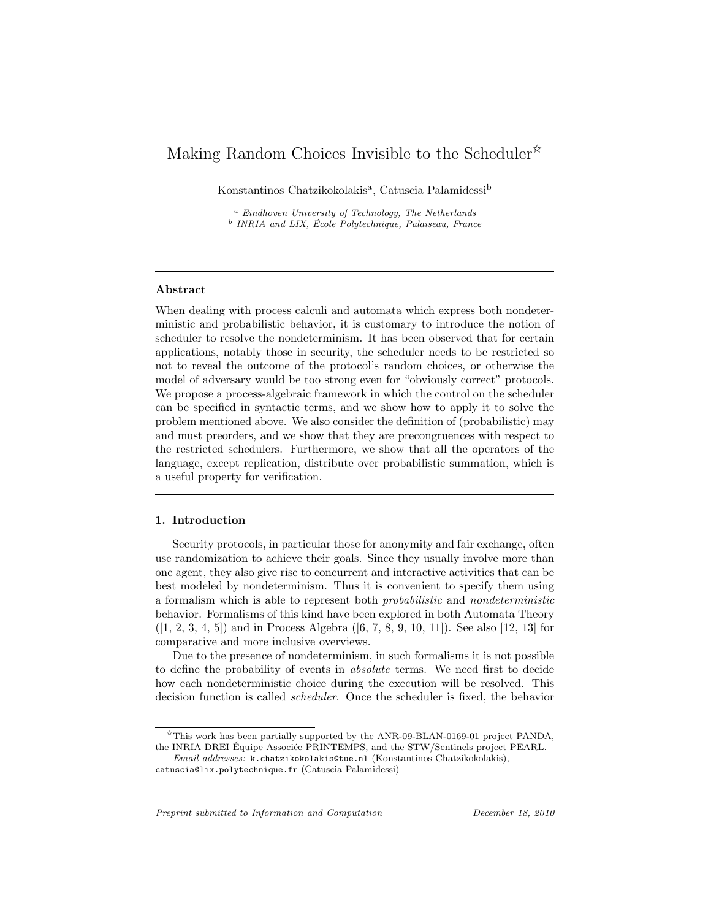### Making Random Choices Invisible to the Scheduler<sup> $\ast$ </sup>

Konstantinos Chatzikokolakis<sup>a</sup>, Catuscia Palamidessi<sup>b</sup>

<sup>a</sup> Eindhoven University of Technology, The Netherlands <sup>b</sup> INRIA and LIX, École Polytechnique, Palaiseau, France

#### Abstract

When dealing with process calculi and automata which express both nondeterministic and probabilistic behavior, it is customary to introduce the notion of scheduler to resolve the nondeterminism. It has been observed that for certain applications, notably those in security, the scheduler needs to be restricted so not to reveal the outcome of the protocol's random choices, or otherwise the model of adversary would be too strong even for "obviously correct" protocols. We propose a process-algebraic framework in which the control on the scheduler can be specified in syntactic terms, and we show how to apply it to solve the problem mentioned above. We also consider the definition of (probabilistic) may and must preorders, and we show that they are precongruences with respect to the restricted schedulers. Furthermore, we show that all the operators of the language, except replication, distribute over probabilistic summation, which is a useful property for verification.

#### 1. Introduction

Security protocols, in particular those for anonymity and fair exchange, often use randomization to achieve their goals. Since they usually involve more than one agent, they also give rise to concurrent and interactive activities that can be best modeled by nondeterminism. Thus it is convenient to specify them using a formalism which is able to represent both probabilistic and nondeterministic behavior. Formalisms of this kind have been explored in both Automata Theory  $([1, 2, 3, 4, 5])$  and in Process Algebra  $([6, 7, 8, 9, 10, 11])$ . See also [12, 13] for comparative and more inclusive overviews.

Due to the presence of nondeterminism, in such formalisms it is not possible to define the probability of events in absolute terms. We need first to decide how each nondeterministic choice during the execution will be resolved. This decision function is called scheduler. Once the scheduler is fixed, the behavior

Preprint submitted to Information and Computation December 18, 2010

 $\hat{\tau}$ This work has been partially supported by the ANR-09-BLAN-0169-01 project PANDA, the INRIA DREI Équipe Associée PRINTEMPS, and the STW/Sentinels project PEARL.

Email addresses: k.chatzikokolakis@tue.nl (Konstantinos Chatzikokolakis), catuscia@lix.polytechnique.fr (Catuscia Palamidessi)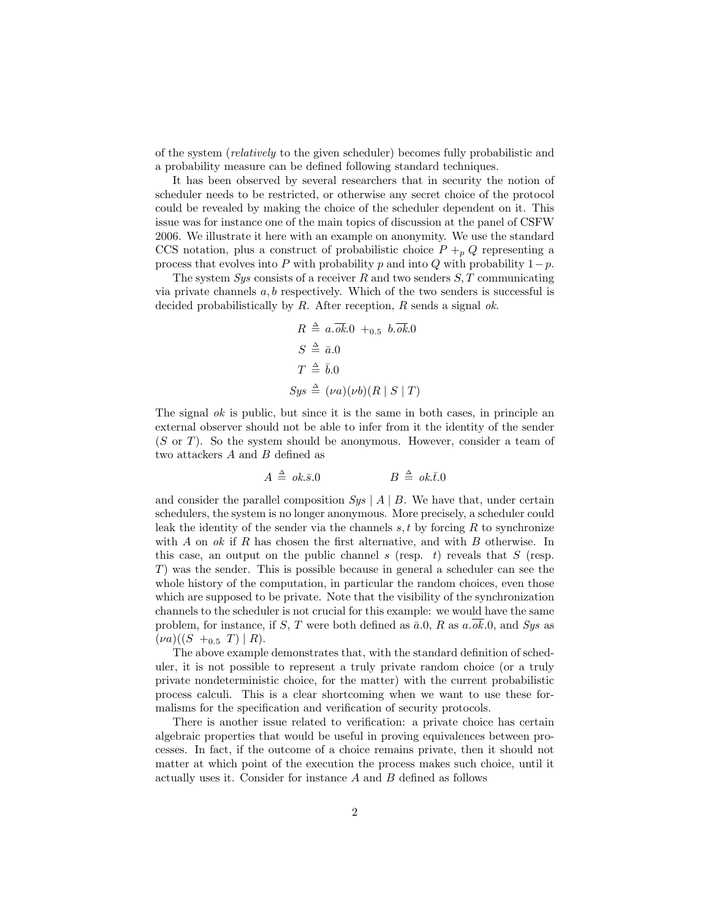of the system (relatively to the given scheduler) becomes fully probabilistic and a probability measure can be defined following standard techniques.

It has been observed by several researchers that in security the notion of scheduler needs to be restricted, or otherwise any secret choice of the protocol could be revealed by making the choice of the scheduler dependent on it. This issue was for instance one of the main topics of discussion at the panel of CSFW 2006. We illustrate it here with an example on anonymity. We use the standard CCS notation, plus a construct of probabilistic choice  $P +_p Q$  representing a process that evolves into P with probability p and into Q with probability  $1-p$ .

The system  $Sys$  consists of a receiver R and two senders  $S, T$  communicating via private channels  $a, b$  respectively. Which of the two senders is successful is decided probabilistically by  $R$ . After reception,  $R$  sends a signal ok.

$$
R \triangleq a.\overline{ok}.0 +_{0.5} b.\overline{ok}.0
$$
  
\n
$$
S \triangleq \overline{a}.0
$$
  
\n
$$
T \triangleq \overline{b}.0
$$
  
\n
$$
Sys \triangleq (\nu a)(\nu b)(R \mid S \mid T)
$$

The signal  $ok$  is public, but since it is the same in both cases, in principle an external observer should not be able to infer from it the identity of the sender (S or T). So the system should be anonymous. However, consider a team of two attackers  $A$  and  $B$  defined as

$$
A \triangleq ok.\bar{s}.0 \qquad \qquad B \triangleq ok.\bar{t}.0
$$

and consider the parallel composition  $Sys \nvert A \nvert B$ . We have that, under certain schedulers, the system is no longer anonymous. More precisely, a scheduler could leak the identity of the sender via the channels  $s, t$  by forcing  $R$  to synchronize with  $A$  on  $ok$  if  $R$  has chosen the first alternative, and with  $B$  otherwise. In this case, an output on the public channel s (resp. t) reveals that  $S$  (resp. T) was the sender. This is possible because in general a scheduler can see the whole history of the computation, in particular the random choices, even those which are supposed to be private. Note that the visibility of the synchronization channels to the scheduler is not crucial for this example: we would have the same problem, for instance, if S, T were both defined as  $\bar{a}.0$ , R as  $a.\overline{ok}.0$ , and Sys as  $(\nu a)((S +_{0.5} T) | R).$ 

The above example demonstrates that, with the standard definition of scheduler, it is not possible to represent a truly private random choice (or a truly private nondeterministic choice, for the matter) with the current probabilistic process calculi. This is a clear shortcoming when we want to use these formalisms for the specification and verification of security protocols.

There is another issue related to verification: a private choice has certain algebraic properties that would be useful in proving equivalences between processes. In fact, if the outcome of a choice remains private, then it should not matter at which point of the execution the process makes such choice, until it actually uses it. Consider for instance A and B defined as follows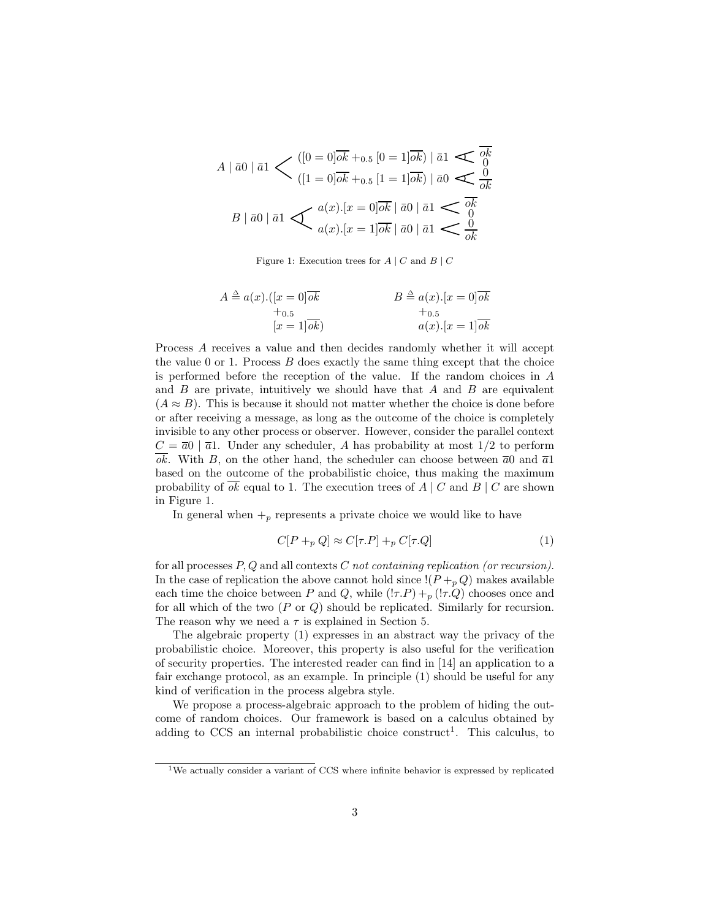$$
A \mid \bar{a}0 \mid \bar{a}1 \leq ( [0 = 0] \overline{ok} +_{0.5} [0 = 1] \overline{ok} ) \mid \bar{a}1 \leq \overline{ok} \atop ( [1 = 0] \overline{ok} +_{0.5} [1 = 1] \overline{ok} ) \mid \bar{a}0 \leq \frac{0}{ok}
$$

$$
B \mid \bar{a}0 \mid \bar{a}1 \leq a(x).[x = 0] \overline{ok} \mid \bar{a}0 \mid \bar{a}1 \leq \overline{ok} \atop a(x).[x = 1] \overline{ok} \mid \bar{a}0 \mid \bar{a}1 \leq \frac{0}{ok}
$$

Figure 1: Execution trees for  $A \mid C$  and  $B \mid C$ 

$$
A \triangleq a(x).([x = 0]\overline{ok}+0.5
$$
  

$$
B \triangleq a(x).[x = 0]\overline{ok}+0.5
$$
  

$$
a(x).[x = 1]\overline{ok}
$$

Process A receives a value and then decides randomly whether it will accept the value  $0$  or  $1$ . Process  $B$  does exactly the same thing except that the choice is performed before the reception of the value. If the random choices in A and  $B$  are private, intuitively we should have that  $A$  and  $B$  are equivalent  $(A \approx B)$ . This is because it should not matter whether the choice is done before or after receiving a message, as long as the outcome of the choice is completely invisible to any other process or observer. However, consider the parallel context  $C = \overline{a}0$  |  $\overline{a}1$ . Under any scheduler, A has probability at most 1/2 to perform  $\overline{ok}$ . With B, on the other hand, the scheduler can choose between  $\overline{a}0$  and  $\overline{a}1$ based on the outcome of the probabilistic choice, thus making the maximum probability of ok equal to 1. The execution trees of  $A \mid C$  and  $B \mid C$  are shown in Figure 1.

In general when  $+_p$  represents a private choice we would like to have

$$
C[P +_p Q] \approx C[\tau.P] +_p C[\tau.Q]
$$
\n(1)

for all processes  $P, Q$  and all contexts  $C$  not containing replication (or recursion). In the case of replication the above cannot hold since  $!(P+_p Q)$  makes available each time the choice between P and Q, while  $(!\tau.P) +_p (!\tau.Q)$  chooses once and for all which of the two  $(P \text{ or } Q)$  should be replicated. Similarly for recursion. The reason why we need a  $\tau$  is explained in Section 5.

The algebraic property (1) expresses in an abstract way the privacy of the probabilistic choice. Moreover, this property is also useful for the verification of security properties. The interested reader can find in [14] an application to a fair exchange protocol, as an example. In principle (1) should be useful for any kind of verification in the process algebra style.

We propose a process-algebraic approach to the problem of hiding the outcome of random choices. Our framework is based on a calculus obtained by adding to CCS an internal probabilistic choice construct<sup>1</sup>. This calculus, to

<sup>1</sup>We actually consider a variant of CCS where infinite behavior is expressed by replicated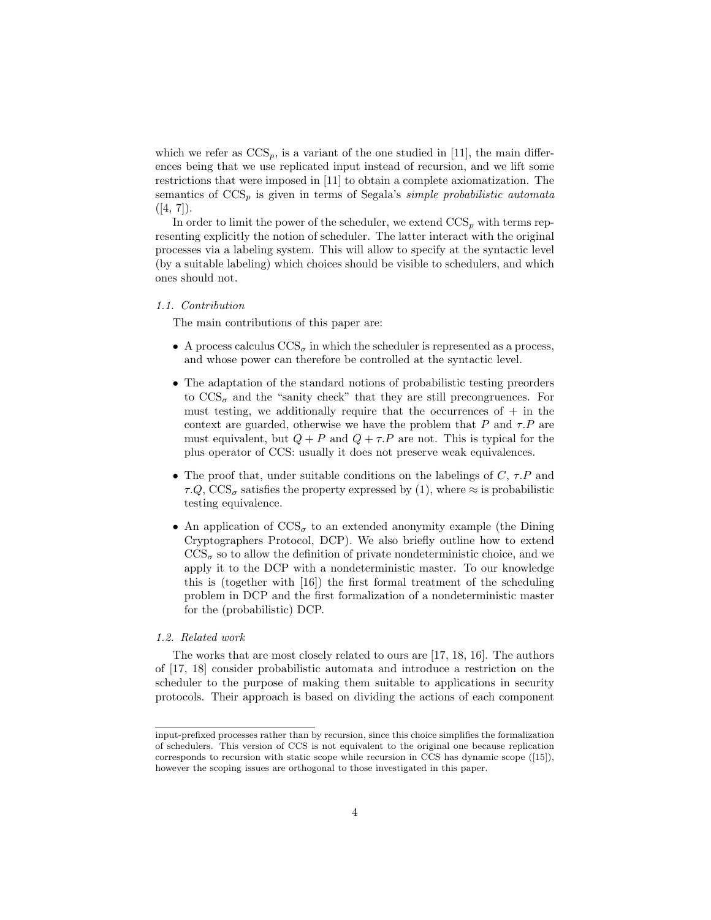which we refer as  $CCS_p$ , is a variant of the one studied in [11], the main differences being that we use replicated input instead of recursion, and we lift some restrictions that were imposed in [11] to obtain a complete axiomatization. The semantics of  $CCS_p$  is given in terms of Segala's *simple probabilistic automata*  $([4, 7]).$ 

In order to limit the power of the scheduler, we extend  $CCS_p$  with terms representing explicitly the notion of scheduler. The latter interact with the original processes via a labeling system. This will allow to specify at the syntactic level (by a suitable labeling) which choices should be visible to schedulers, and which ones should not.

#### 1.1. Contribution

The main contributions of this paper are:

- A process calculus  $\text{CCS}_{\sigma}$  in which the scheduler is represented as a process, and whose power can therefore be controlled at the syntactic level.
- The adaptation of the standard notions of probabilistic testing preorders to  $\text{CCS}_{\sigma}$  and the "sanity check" that they are still precongruences. For must testing, we additionally require that the occurrences of  $+$  in the context are guarded, otherwise we have the problem that P and  $\tau.P$  are must equivalent, but  $Q + P$  and  $Q + \tau P$  are not. This is typical for the plus operator of CCS: usually it does not preserve weak equivalences.
- The proof that, under suitable conditions on the labelings of  $C, \tau.P$  and  $\tau.Q$ , CCS<sub> $\sigma$ </sub> satisfies the property expressed by (1), where  $\approx$  is probabilistic testing equivalence.
- An application of  $\text{CCS}_{\sigma}$  to an extended anonymity example (the Dining Cryptographers Protocol, DCP). We also briefly outline how to extend  $\text{CCS}_{\sigma}$  so to allow the definition of private nondeterministic choice, and we apply it to the DCP with a nondeterministic master. To our knowledge this is (together with [16]) the first formal treatment of the scheduling problem in DCP and the first formalization of a nondeterministic master for the (probabilistic) DCP.

#### 1.2. Related work

The works that are most closely related to ours are [17, 18, 16]. The authors of [17, 18] consider probabilistic automata and introduce a restriction on the scheduler to the purpose of making them suitable to applications in security protocols. Their approach is based on dividing the actions of each component

input-prefixed processes rather than by recursion, since this choice simplifies the formalization of schedulers. This version of CCS is not equivalent to the original one because replication corresponds to recursion with static scope while recursion in CCS has dynamic scope ([15]), however the scoping issues are orthogonal to those investigated in this paper.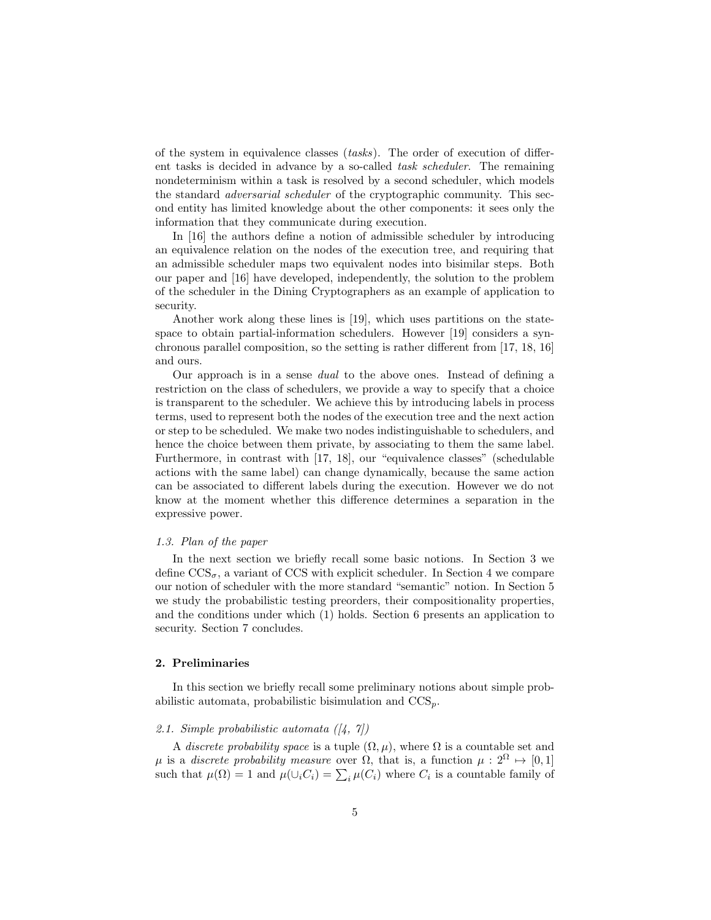of the system in equivalence classes (tasks). The order of execution of different tasks is decided in advance by a so-called task scheduler. The remaining nondeterminism within a task is resolved by a second scheduler, which models the standard adversarial scheduler of the cryptographic community. This second entity has limited knowledge about the other components: it sees only the information that they communicate during execution.

In [16] the authors define a notion of admissible scheduler by introducing an equivalence relation on the nodes of the execution tree, and requiring that an admissible scheduler maps two equivalent nodes into bisimilar steps. Both our paper and [16] have developed, independently, the solution to the problem of the scheduler in the Dining Cryptographers as an example of application to security.

Another work along these lines is [19], which uses partitions on the statespace to obtain partial-information schedulers. However [19] considers a synchronous parallel composition, so the setting is rather different from [17, 18, 16] and ours.

Our approach is in a sense dual to the above ones. Instead of defining a restriction on the class of schedulers, we provide a way to specify that a choice is transparent to the scheduler. We achieve this by introducing labels in process terms, used to represent both the nodes of the execution tree and the next action or step to be scheduled. We make two nodes indistinguishable to schedulers, and hence the choice between them private, by associating to them the same label. Furthermore, in contrast with [17, 18], our "equivalence classes" (schedulable actions with the same label) can change dynamically, because the same action can be associated to different labels during the execution. However we do not know at the moment whether this difference determines a separation in the expressive power.

#### 1.3. Plan of the paper

In the next section we briefly recall some basic notions. In Section 3 we define  $\text{CCS}_{\sigma}$ , a variant of CCS with explicit scheduler. In Section 4 we compare our notion of scheduler with the more standard "semantic" notion. In Section 5 we study the probabilistic testing preorders, their compositionality properties, and the conditions under which (1) holds. Section 6 presents an application to security. Section 7 concludes.

#### 2. Preliminaries

In this section we briefly recall some preliminary notions about simple probabilistic automata, probabilistic bisimulation and  $CCS_p$ .

#### 2.1. Simple probabilistic automata  $(4, 7)$

A discrete probability space is a tuple  $(\Omega, \mu)$ , where  $\Omega$  is a countable set and  $\mu$  is a *discrete probability measure* over  $\Omega$ , that is, a function  $\mu: 2^{\Omega} \mapsto [0, 1]$ such that  $\mu(\Omega) = 1$  and  $\mu(\cup_i C_i) = \sum_i \mu(C_i)$  where  $C_i$  is a countable family of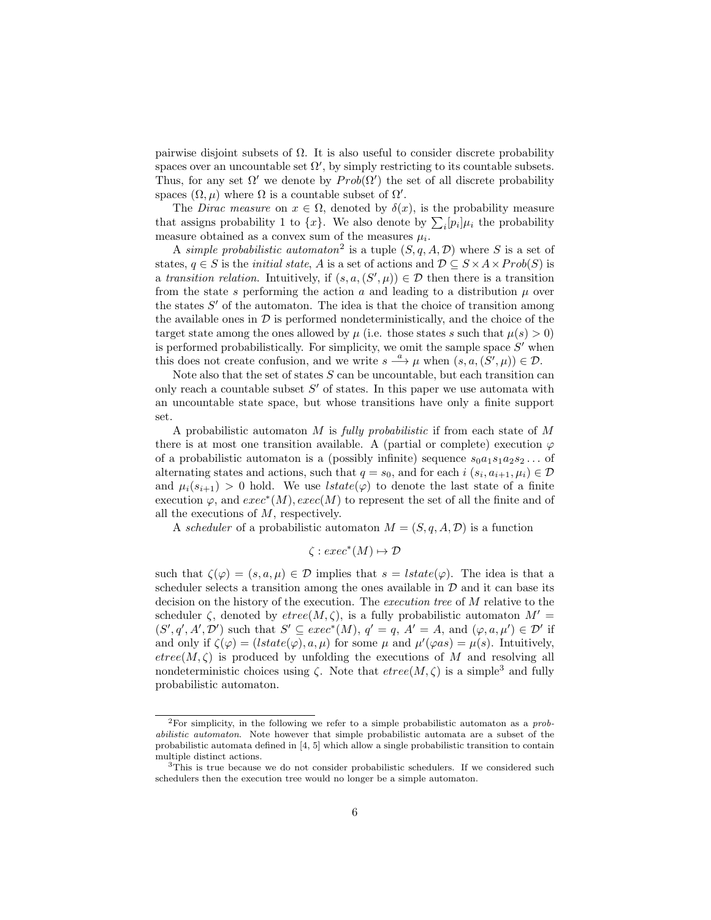pairwise disjoint subsets of  $\Omega$ . It is also useful to consider discrete probability spaces over an uncountable set  $\Omega'$ , by simply restricting to its countable subsets. Thus, for any set  $\Omega'$  we denote by  $Prob(\Omega')$  the set of all discrete probability spaces  $(\Omega, \mu)$  where  $\Omega$  is a countable subset of  $\Omega'$ .

The Dirac measure on  $x \in \Omega$ , denoted by  $\delta(x)$ , is the probability measure that assigns probability 1 to  $\{x\}$ . We also denote by  $\sum_i [p_i] \mu_i$  the probability measure obtained as a convex sum of the measures  $\mu_i$ .

A simple probabilistic automator<sup>2</sup> is a tuple  $(S, q, A, \mathcal{D})$  where S is a set of states,  $q \in S$  is the *initial state*, A is a set of actions and  $D \subseteq S \times A \times Prob(S)$  is a transition relation. Intuitively, if  $(s, a, (S', \mu)) \in \mathcal{D}$  then there is a transition from the state s performing the action a and leading to a distribution  $\mu$  over the states  $S'$  of the automaton. The idea is that the choice of transition among the available ones in  $\mathcal D$  is performed nondeterministically, and the choice of the target state among the ones allowed by  $\mu$  (i.e. those states s such that  $\mu(s) > 0$ ) is performed probabilistically. For simplicity, we omit the sample space  $S'$  when this does not create confusion, and we write  $s \stackrel{a}{\longrightarrow} \mu$  when  $(s, a, (S', \mu)) \in \mathcal{D}$ .

Note also that the set of states  $S$  can be uncountable, but each transition can only reach a countable subset  $S'$  of states. In this paper we use automata with an uncountable state space, but whose transitions have only a finite support set.

A probabilistic automator M is fully probabilistic if from each state of  $M$ there is at most one transition available. A (partial or complete) execution  $\varphi$ of a probabilistic automaton is a (possibly infinite) sequence  $s_0a_1s_1a_2s_2...$  of alternating states and actions, such that  $q = s_0$ , and for each  $i$   $(s_i, a_{i+1}, \mu_i) \in \mathcal{D}$ and  $\mu_i(s_{i+1}) > 0$  hold. We use  $lstate(\varphi)$  to denote the last state of a finite execution  $\varphi$ , and  $exec^*(M)$ ,  $exec(M)$  to represent the set of all the finite and of all the executions of M, respectively.

A scheduler of a probabilistic automaton  $M = (S, q, A, \mathcal{D})$  is a function

$$
\zeta : exec^*(M) \mapsto \mathcal{D}
$$

such that  $\zeta(\varphi) = (s, a, \mu) \in \mathcal{D}$  implies that  $s = \text{lstate}(\varphi)$ . The idea is that a scheduler selects a transition among the ones available in  $D$  and it can base its decision on the history of the execution. The execution tree of M relative to the scheduler  $\zeta$ , denoted by  $\text{etree}(M, \zeta)$ , is a fully probabilistic automaton  $M' =$  $(S', q', A', \mathcal{D}')$  such that  $S' \subseteq exec^*(M)$ ,  $q' = q$ ,  $A' = A$ , and  $(\varphi, a, \mu') \in \mathcal{D}'$  if and only if  $\zeta(\varphi) = (lstate(\varphi), a, \mu)$  for some  $\mu$  and  $\mu'(\varphi as) = \mu(s)$ . Intuitively,  $etree(M, \zeta)$  is produced by unfolding the executions of M and resolving all nondeterministic choices using  $\zeta$ . Note that  $etree(M, \zeta)$  is a simple<sup>3</sup> and fully probabilistic automaton.

<sup>&</sup>lt;sup>2</sup>For simplicity, in the following we refer to a simple probabilistic automaton as a  $prob$ abilistic automaton. Note however that simple probabilistic automata are a subset of the probabilistic automata defined in [4, 5] which allow a single probabilistic transition to contain multiple distinct actions.

<sup>&</sup>lt;sup>3</sup>This is true because we do not consider probabilistic schedulers. If we considered such schedulers then the execution tree would no longer be a simple automaton.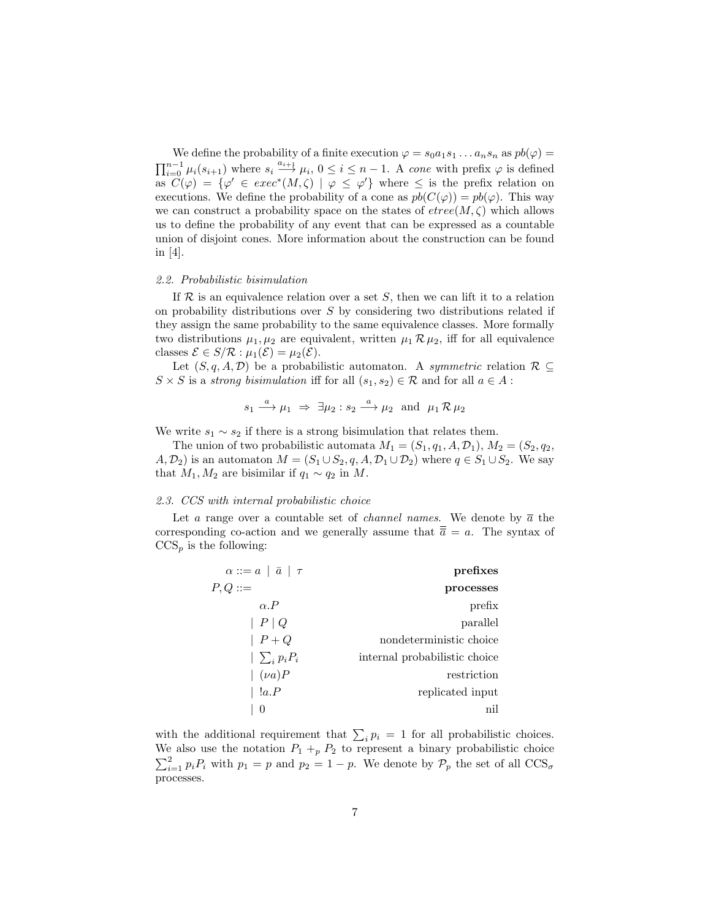We define the probability of a finite execution  $\varphi = s_0 a_1 s_1 \dots a_n s_n$  as  $pb(\varphi) =$  $\prod_{i=0}^{n-1} \mu_i(s_{i+1})$  where  $s_i \stackrel{a_{i+1}}{\longrightarrow} \mu_i$ ,  $0 \leq i \leq n-1$ . A cone with prefix  $\varphi$  is defined as  $\mathcal{C}(\varphi) = {\varphi' \in \mathit{exec}^*(M, \zeta) \mid \varphi \leq \varphi'}$  where  $\leq$  is the prefix relation on executions. We define the probability of a cone as  $pb(C(\varphi)) = pb(\varphi)$ . This way we can construct a probability space on the states of  $etree(M, \zeta)$  which allows us to define the probability of any event that can be expressed as a countable union of disjoint cones. More information about the construction can be found in [4].

#### 2.2. Probabilistic bisimulation

If  $\mathcal R$  is an equivalence relation over a set S, then we can lift it to a relation on probability distributions over  $S$  by considering two distributions related if they assign the same probability to the same equivalence classes. More formally two distributions  $\mu_1, \mu_2$  are equivalent, written  $\mu_1 \mathcal{R} \mu_2$ , iff for all equivalence classes  $\mathcal{E} \in S/\mathcal{R} : \mu_1(\mathcal{E}) = \mu_2(\mathcal{E}).$ 

Let  $(S, q, A, \mathcal{D})$  be a probabilistic automaton. A *symmetric* relation  $\mathcal{R} \subseteq$  $S \times S$  is a strong bisimulation iff for all  $(s_1, s_2) \in \mathcal{R}$  and for all  $a \in A$ :

$$
s_1 \xrightarrow{a} \mu_1 \Rightarrow \exists \mu_2 : s_2 \xrightarrow{a} \mu_2 \text{ and } \mu_1 \mathcal{R} \mu_2
$$

We write  $s_1 \sim s_2$  if there is a strong bisimulation that relates them.

The union of two probabilistic automata  $M_1 = (S_1, q_1, A, \mathcal{D}_1), M_2 = (S_2, q_2,$  $(A, \mathcal{D}_2)$  is an automaton  $M = (S_1 \cup S_2, q, A, \mathcal{D}_1 \cup \mathcal{D}_2)$  where  $q \in S_1 \cup S_2$ . We say that  $M_1, M_2$  are bisimilar if  $q_1 \sim q_2$  in M.

#### 2.3. CCS with internal probabilistic choice

Let a range over a countable set of *channel names*. We denote by  $\bar{a}$  the corresponding co-action and we generally assume that  $\bar{\overline{a}} = a$ . The syntax of  $CCS_p$  is the following:

| prefixes                      | $\alpha ::= a   \overline{a}   \tau$ |
|-------------------------------|--------------------------------------|
| processes                     | $P,Q ::=$                            |
| prefix                        | $\alpha$ . $P$                       |
| parallel                      | P Q                                  |
| nondeterministic choice       | $ P+Q $                              |
| internal probabilistic choice | $ \sum_i p_i P_i $                   |
| restriction                   | $\mid (\nu a)P$                      |
| replicated input              | !a.P                                 |
| nil                           | $\theta$                             |
|                               |                                      |

with the additional requirement that  $\sum_i p_i = 1$  for all probabilistic choices. We also use the notation  $P_1 +_p P_2$  to represent a binary probabilistic choice  $\sum_{i=1}^{2} p_i P_i$  with  $p_1 = p$  and  $p_2 = 1 - p$ . We denote by  $\mathcal{P}_p$  the set of all  $\text{CCS}_{\sigma}$ processes.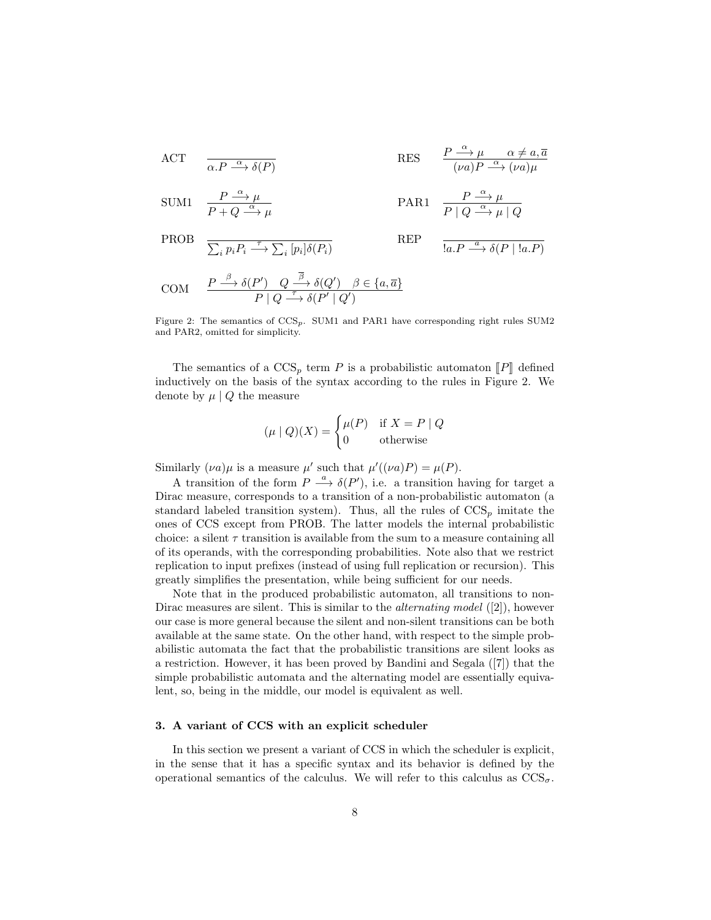ACT 
$$
\overline{\alpha.P \xrightarrow{\alpha} \delta(P)}
$$
 RES  $\frac{P \xrightarrow{\alpha} \mu \alpha \neq a, \overline{a}}{(\nu a)P \xrightarrow{\alpha} (\nu a)\mu}$ 

$$
\text{SUM1} \quad \frac{P \stackrel{\alpha}{\longrightarrow} \mu}{P + Q \stackrel{\alpha}{\longrightarrow} \mu} \qquad \qquad \text{PAR1} \quad \frac{P \stackrel{\alpha}{\longrightarrow} \mu}{P \mid Q \stackrel{\alpha}{\longrightarrow} \mu \mid Q}
$$

PROB 
$$
\overline{\sum_{i} p_i P_i \xrightarrow{\tau} \sum_{i} [p_i] \delta(P_i)}
$$
 REP 
$$
\overline{\text{I}a.P \xrightarrow{a} \delta(P \mid \text{I}a.P)}
$$

$$
\text{COM} \quad \frac{P \stackrel{\beta}{\longrightarrow} \delta(P') \quad Q \stackrel{\beta}{\longrightarrow} \delta(Q') \quad \beta \in \{a, \overline{a}\}}{P \mid Q \stackrel{\tau}{\longrightarrow} \delta(P' \mid Q')}
$$

Figure 2: The semantics of CCSp. SUM1 and PAR1 have corresponding right rules SUM2 and PAR2, omitted for simplicity.

The semantics of a  $\text{CCS}_p$  term P is a probabilistic automaton  $\llbracket P \rrbracket$  defined inductively on the basis of the syntax according to the rules in Figure 2. We denote by  $\mu \mid Q$  the measure

$$
(\mu \mid Q)(X) = \begin{cases} \mu(P) & \text{if } X = P \mid Q \\ 0 & \text{otherwise} \end{cases}
$$

Similarly  $(\nu a)\mu$  is a measure  $\mu'$  such that  $\mu'((\nu a)P) = \mu(P)$ .

A transition of the form  $P \stackrel{a}{\longrightarrow} \delta(P')$ , i.e. a transition having for target a Dirac measure, corresponds to a transition of a non-probabilistic automaton (a standard labeled transition system). Thus, all the rules of  $CCS_p$  imitate the ones of CCS except from PROB. The latter models the internal probabilistic choice: a silent  $\tau$  transition is available from the sum to a measure containing all of its operands, with the corresponding probabilities. Note also that we restrict replication to input prefixes (instead of using full replication or recursion). This greatly simplifies the presentation, while being sufficient for our needs.

Note that in the produced probabilistic automaton, all transitions to non-Dirac measures are silent. This is similar to the *alternating model* ([2]), however our case is more general because the silent and non-silent transitions can be both available at the same state. On the other hand, with respect to the simple probabilistic automata the fact that the probabilistic transitions are silent looks as a restriction. However, it has been proved by Bandini and Segala ([7]) that the simple probabilistic automata and the alternating model are essentially equivalent, so, being in the middle, our model is equivalent as well.

#### 3. A variant of CCS with an explicit scheduler

In this section we present a variant of CCS in which the scheduler is explicit, in the sense that it has a specific syntax and its behavior is defined by the operational semantics of the calculus. We will refer to this calculus as  $\text{CCS}_{\sigma}$ .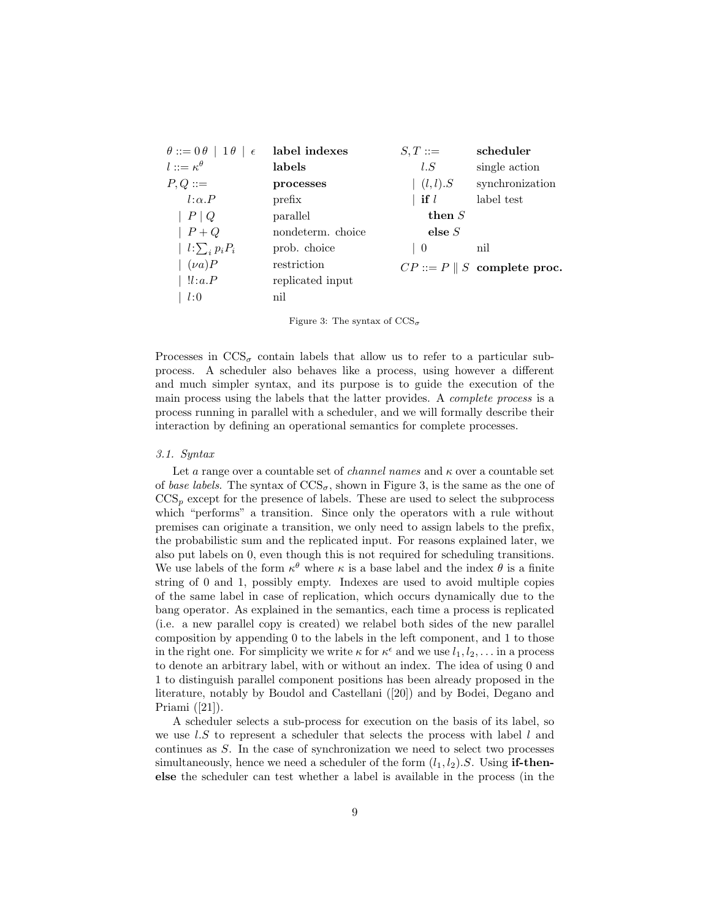| $\theta ::= 0 \theta   1 \theta   \epsilon$ | label indexes     | $S,T ::=$             | scheduler                             |
|---------------------------------------------|-------------------|-----------------------|---------------------------------------|
| $l ::= \kappa^{\theta}$                     | labels            | l.S                   | single action                         |
| $P,Q ::=$                                   | processes         | $\vert (l,l).S \vert$ | synchronization                       |
| $l:\alpha.P$                                | prefix            | if $l$                | label test                            |
| $P \mid Q$                                  | parallel          | then $S$              |                                       |
| $P+Q$                                       | nondeterm. choice | else $S$              |                                       |
| $l:\sum_i p_iP_i$                           | prob. choice      | 0                     | nil                                   |
| $(\nu a)P$                                  | restriction       |                       | $CP ::= P \parallel S$ complete proc. |
| !l:a.P                                      | replicated input  |                       |                                       |
| l:0                                         | nil               |                       |                                       |

Figure 3: The syntax of  $CCS_{\sigma}$ 

Processes in  $\text{CCS}_{\sigma}$  contain labels that allow us to refer to a particular subprocess. A scheduler also behaves like a process, using however a different and much simpler syntax, and its purpose is to guide the execution of the main process using the labels that the latter provides. A complete process is a process running in parallel with a scheduler, and we will formally describe their interaction by defining an operational semantics for complete processes.

#### 3.1. Syntax

Let a range over a countable set of *channel names* and  $\kappa$  over a countable set of base labels. The syntax of  $\text{CCS}_{\sigma}$ , shown in Figure 3, is the same as the one of  $CCS<sub>p</sub>$  except for the presence of labels. These are used to select the subprocess which "performs" a transition. Since only the operators with a rule without premises can originate a transition, we only need to assign labels to the prefix, the probabilistic sum and the replicated input. For reasons explained later, we also put labels on 0, even though this is not required for scheduling transitions. We use labels of the form  $\kappa^{\theta}$  where  $\kappa$  is a base label and the index  $\theta$  is a finite string of 0 and 1, possibly empty. Indexes are used to avoid multiple copies of the same label in case of replication, which occurs dynamically due to the bang operator. As explained in the semantics, each time a process is replicated (i.e. a new parallel copy is created) we relabel both sides of the new parallel composition by appending 0 to the labels in the left component, and 1 to those in the right one. For simplicity we write  $\kappa$  for  $\kappa^{\epsilon}$  and we use  $l_1, l_2, \ldots$  in a process to denote an arbitrary label, with or without an index. The idea of using 0 and 1 to distinguish parallel component positions has been already proposed in the literature, notably by Boudol and Castellani ([20]) and by Bodei, Degano and Priami ([21]).

A scheduler selects a sub-process for execution on the basis of its label, so we use  $l.S$  to represent a scheduler that selects the process with label  $l$  and continues as S. In the case of synchronization we need to select two processes simultaneously, hence we need a scheduler of the form  $(l_1, l_2)$ . S. Using **if-then**else the scheduler can test whether a label is available in the process (in the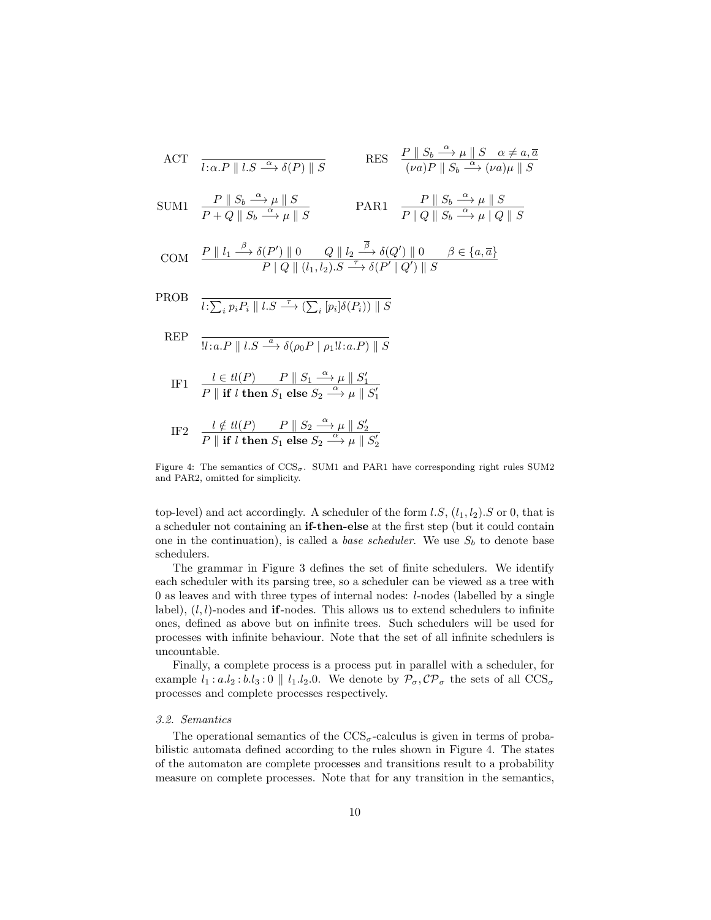ACT 
$$
\overline{l:\alpha.P \parallel l.S \xrightarrow{\alpha} \delta(P) \parallel S}
$$
 RES  $\frac{P \parallel S_b \xrightarrow{\alpha} \mu \parallel S \quad \alpha \neq a, \overline{a}}{(va)P \parallel S_b \xrightarrow{\alpha} (\nu a)\mu \parallel S}$   
\nSUM1  $\frac{P \parallel S_b \xrightarrow{\alpha} \mu \parallel S}{P+Q \parallel S_b \xrightarrow{\alpha} \mu \parallel S}$  PAR1  $\frac{P \parallel S_b \xrightarrow{\alpha} \mu \parallel S}{P \parallel Q \parallel S_b \xrightarrow{\alpha} \mu \parallel Q \parallel S}$   
\nCOM  $\frac{P \parallel l_1 \xrightarrow{\beta} \delta(P') \parallel 0 \quad Q \parallel l_2 \xrightarrow{\overline{\beta}} \delta(Q') \parallel 0 \quad \beta \in \{a, \overline{a}\}}{P \parallel Q \parallel (l_1, l_2).S \xrightarrow{\tau} \delta(P' \parallel Q') \parallel S}$   
\nPROB  $\overline{l:\sum_i p_i P_i \parallel l.S \xrightarrow{\tau} (\sum_i [p_i] \delta(P_i)) \parallel S}$   
\nREF  $\overline{l:\alpha.P \parallel l.S \xrightarrow{\alpha} \delta(\rho_0 P \parallel \rho_1! l: a.P) \parallel S}$ 

$$
\text{IF1} \quad \frac{l \in tl(P)}{P \parallel \text{if } l \text{ then } S_1 \text{ else } S_2 \stackrel{\alpha}{\longrightarrow} \mu \parallel S'_1}.
$$

$$
\text{IF2} \quad \frac{l \notin tl(P)}{P \parallel \textbf{if } l \textbf{ then } S_1 \textbf{ else } S_2 \stackrel{\alpha}{\longrightarrow} \mu \parallel S_2'}
$$

Figure 4: The semantics of  $\text{CCS}_{\sigma}$ . SUM1 and PAR1 have corresponding right rules SUM2 and PAR2, omitted for simplicity.

top-level) and act accordingly. A scheduler of the form  $l.S$ ,  $(l_1, l_2).S$  or 0, that is a scheduler not containing an if-then-else at the first step (but it could contain one in the continuation), is called a *base scheduler*. We use  $S_b$  to denote base schedulers.

The grammar in Figure 3 defines the set of finite schedulers. We identify each scheduler with its parsing tree, so a scheduler can be viewed as a tree with 0 as leaves and with three types of internal nodes: l-nodes (labelled by a single label),  $(l, l)$ -nodes and **if**-nodes. This allows us to extend schedulers to infinite ones, defined as above but on infinite trees. Such schedulers will be used for processes with infinite behaviour. Note that the set of all infinite schedulers is uncountable.

Finally, a complete process is a process put in parallel with a scheduler, for example  $l_1 : a.l_2 : b.l_3 : 0 \parallel l_1.l_2.0$ . We denote by  $\mathcal{P}_{\sigma}, \mathcal{CP}_{\sigma}$  the sets of all  $\text{CCS}_{\sigma}$ processes and complete processes respectively.

#### 3.2. Semantics

The operational semantics of the  $\text{CCS}_{\sigma}$ -calculus is given in terms of probabilistic automata defined according to the rules shown in Figure 4. The states of the automaton are complete processes and transitions result to a probability measure on complete processes. Note that for any transition in the semantics,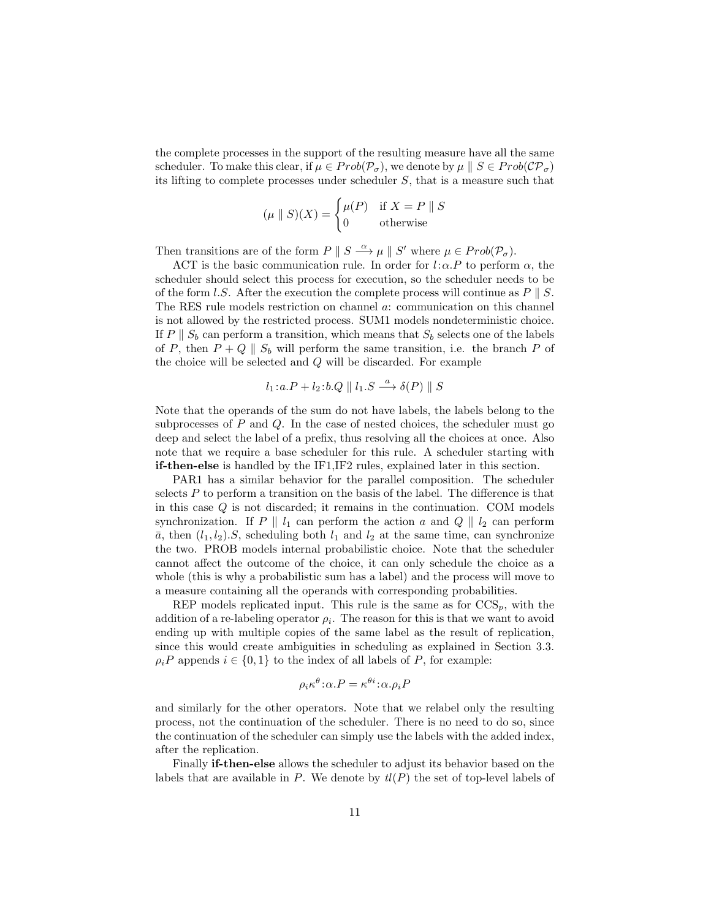the complete processes in the support of the resulting measure have all the same scheduler. To make this clear, if  $\mu \in Prob(\mathcal{P}_{\sigma})$ , we denote by  $\mu \parallel S \in Prob(\mathcal{CP}_{\sigma})$ its lifting to complete processes under scheduler S, that is a measure such that

$$
(\mu \parallel S)(X) = \begin{cases} \mu(P) & \text{if } X = P \parallel S \\ 0 & \text{otherwise} \end{cases}
$$

Then transitions are of the form  $P \parallel S \stackrel{\alpha}{\longrightarrow} \mu \parallel S'$  where  $\mu \in Prob(\mathcal{P}_{\sigma})$ .

ACT is the basic communication rule. In order for  $l:\alpha.P$  to perform  $\alpha$ , the scheduler should select this process for execution, so the scheduler needs to be of the form l.S. After the execution the complete process will continue as  $P \parallel S$ . The RES rule models restriction on channel a: communication on this channel is not allowed by the restricted process. SUM1 models nondeterministic choice. If P  $\parallel S_b$  can perform a transition, which means that  $S_b$  selects one of the labels of P, then  $P + Q \parallel S_b$  will perform the same transition, i.e. the branch P of the choice will be selected and Q will be discarded. For example

$$
l_1: a.P + l_2: b.Q \parallel l_1.S \xrightarrow{a} \delta(P) \parallel S
$$

Note that the operands of the sum do not have labels, the labels belong to the subprocesses of  $P$  and  $Q$ . In the case of nested choices, the scheduler must go deep and select the label of a prefix, thus resolving all the choices at once. Also note that we require a base scheduler for this rule. A scheduler starting with if-then-else is handled by the IF1,IF2 rules, explained later in this section.

PAR1 has a similar behavior for the parallel composition. The scheduler selects P to perform a transition on the basis of the label. The difference is that in this case  $Q$  is not discarded; it remains in the continuation. COM models synchronization. If P ||  $l_1$  can perform the action a and Q ||  $l_2$  can perform  $\bar{a}$ , then  $(l_1, l_2)$ .S, scheduling both  $l_1$  and  $l_2$  at the same time, can synchronize the two. PROB models internal probabilistic choice. Note that the scheduler cannot affect the outcome of the choice, it can only schedule the choice as a whole (this is why a probabilistic sum has a label) and the process will move to a measure containing all the operands with corresponding probabilities.

REP models replicated input. This rule is the same as for  $CCS_p$ , with the addition of a re-labeling operator  $\rho_i$ . The reason for this is that we want to avoid ending up with multiple copies of the same label as the result of replication, since this would create ambiguities in scheduling as explained in Section 3.3.  $\rho_i P$  appends  $i \in \{0,1\}$  to the index of all labels of P, for example:

$$
\rho_i \kappa^{\theta} : \alpha.P = \kappa^{\theta i} : \alpha.\rho_i P
$$

and similarly for the other operators. Note that we relabel only the resulting process, not the continuation of the scheduler. There is no need to do so, since the continuation of the scheduler can simply use the labels with the added index, after the replication.

Finally if-then-else allows the scheduler to adjust its behavior based on the labels that are available in P. We denote by  $tl(P)$  the set of top-level labels of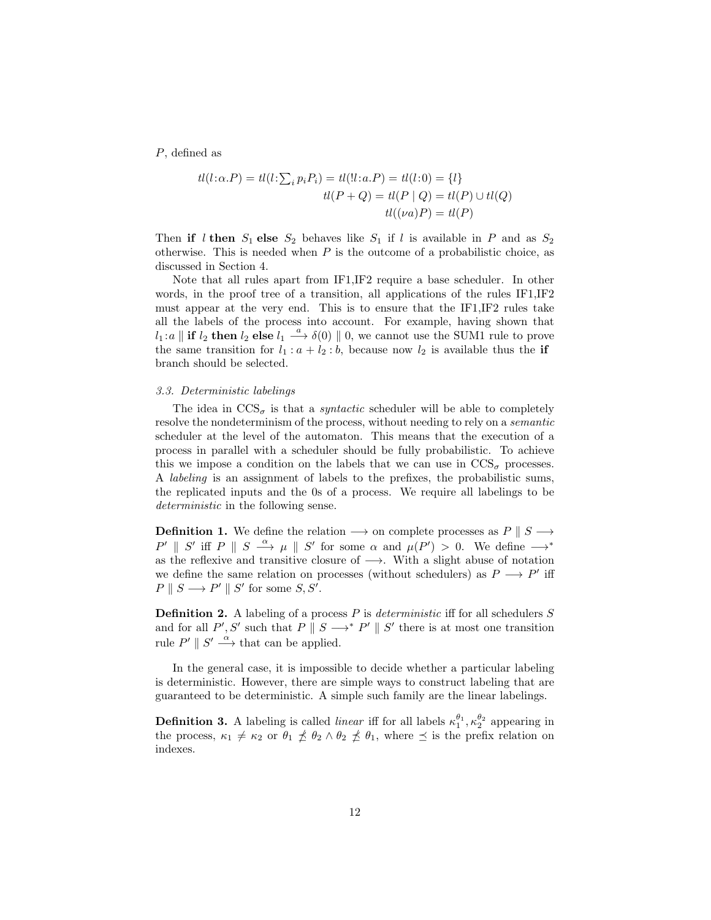P, defined as

$$
tl(l:\alpha.P) = tl(l:\sum_{i} p_{i}P_{i}) = tl(l:\alpha.P) = tl(l:0) = \{l\}
$$
  

$$
tl(P + Q) = tl(P | Q) = tl(P) \cup tl(Q)
$$
  

$$
tl((va)P) = tl(P)
$$

Then if l then  $S_1$  else  $S_2$  behaves like  $S_1$  if l is available in P and as  $S_2$ otherwise. This is needed when  $P$  is the outcome of a probabilistic choice, as discussed in Section 4.

Note that all rules apart from IF1,IF2 require a base scheduler. In other words, in the proof tree of a transition, all applications of the rules IF1,IF2 must appear at the very end. This is to ensure that the IF1,IF2 rules take all the labels of the process into account. For example, having shown that  $l_1: a \parallel \textbf{if } l_2 \textbf{ then } l_2 \textbf{ else } l_1 \stackrel{a}{\longrightarrow} \delta(0) \parallel 0$ , we cannot use the SUM1 rule to prove the same transition for  $l_1 : a + l_2 : b$ , because now  $l_2$  is available thus the **if** branch should be selected.

#### 3.3. Deterministic labelings

The idea in  $\text{CCS}_{\sigma}$  is that a *syntactic* scheduler will be able to completely resolve the nondeterminism of the process, without needing to rely on a semantic scheduler at the level of the automaton. This means that the execution of a process in parallel with a scheduler should be fully probabilistic. To achieve this we impose a condition on the labels that we can use in  $\text{CCS}_{\sigma}$  processes. A labeling is an assignment of labels to the prefixes, the probabilistic sums, the replicated inputs and the 0s of a process. We require all labelings to be deterministic in the following sense.

**Definition 1.** We define the relation  $\rightarrow$  on complete processes as P || S  $\rightarrow$  $P' \parallel S'$  iff  $P \parallel S \stackrel{\alpha}{\longrightarrow} \mu \parallel S'$  for some  $\alpha$  and  $\mu(P') > 0$ . We define  $\longrightarrow^*$ as the reflexive and transitive closure of  $\longrightarrow$ . With a slight abuse of notation we define the same relation on processes (without schedulers) as  $P \longrightarrow P'$  iff  $P \parallel S \longrightarrow P' \parallel S'$  for some  $S, S'.$ 

**Definition 2.** A labeling of a process  $P$  is *deterministic* iff for all schedulers  $S$ and for all  $P', S'$  such that  $P \parallel S \longrightarrow^* P' \parallel S'$  there is at most one transition rule  $P' \parallel S' \stackrel{\alpha}{\longrightarrow}$  that can be applied.

In the general case, it is impossible to decide whether a particular labeling is deterministic. However, there are simple ways to construct labeling that are guaranteed to be deterministic. A simple such family are the linear labelings.

**Definition 3.** A labeling is called *linear* iff for all labels  $\kappa_1^{\theta_1}, \kappa_2^{\theta_2}$  appearing in the process,  $\kappa_1 \neq \kappa_2$  or  $\theta_1 \npreceq \theta_2 \wedge \theta_2 \npreceq \theta_1$ , where  $\preceq$  is the prefix relation on indexes.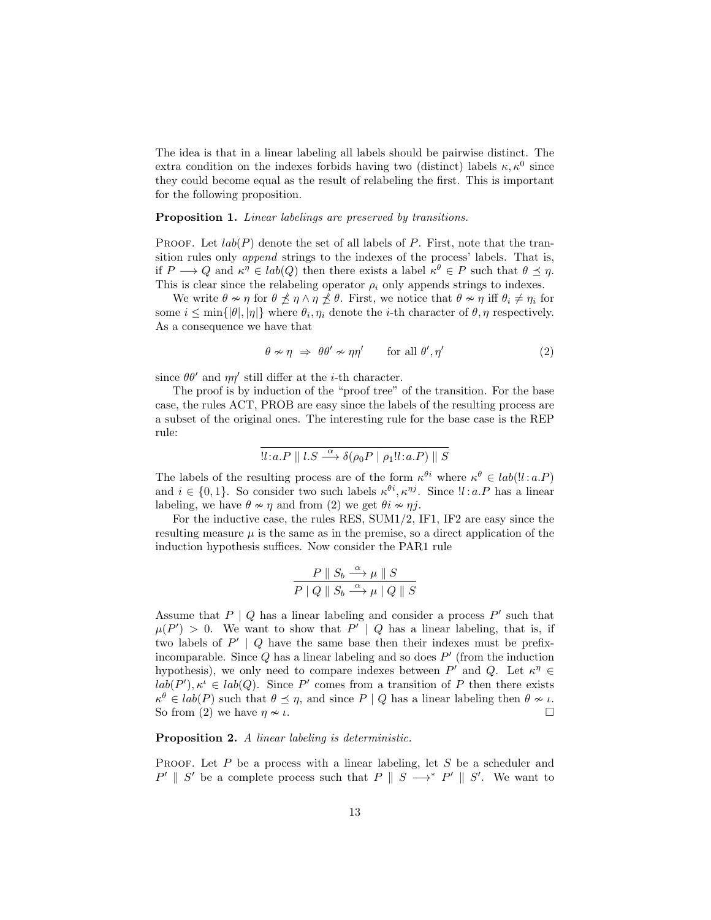The idea is that in a linear labeling all labels should be pairwise distinct. The extra condition on the indexes forbids having two (distinct) labels  $\kappa, \kappa^0$  since they could become equal as the result of relabeling the first. This is important for the following proposition.

#### Proposition 1. Linear labelings are preserved by transitions.

PROOF. Let  $lab(P)$  denote the set of all labels of P. First, note that the transition rules only append strings to the indexes of the process' labels. That is, if  $P \longrightarrow Q$  and  $\kappa^{\eta} \in lab(Q)$  then there exists a label  $\kappa^{\theta} \in P$  such that  $\theta \preceq \eta$ . This is clear since the relabeling operator  $\rho_i$  only appends strings to indexes.

We write  $\theta \nsim \eta$  for  $\theta \npreceq \eta \wedge \eta \npreceq \theta$ . First, we notice that  $\theta \nsim \eta$  iff  $\theta_i \neq \eta_i$  for some  $i \le \min\{|\theta|, |\eta|\}$  where  $\theta_i, \eta_i$  denote the *i*-th character of  $\theta, \eta$  respectively. As a consequence we have that

$$
\theta \nsim \eta \;\Rightarrow\; \theta \theta' \nsim \eta \eta' \qquad \text{for all } \theta', \eta' \tag{2}
$$

since  $\theta \theta'$  and  $\eta \eta'$  still differ at the *i*-th character.

The proof is by induction of the "proof tree" of the transition. For the base case, the rules ACT, PROB are easy since the labels of the resulting process are a subset of the original ones. The interesting rule for the base case is the REP rule:

$$
!l:a.P \parallel l.S \stackrel{\alpha}{\longrightarrow} \delta(\rho_0 P \mid \rho_1!l:a.P) \parallel S
$$

The labels of the resulting process are of the form  $\kappa^{\theta i}$  where  $\kappa^{\theta} \in lab($ !!:a.P) and  $i \in \{0,1\}$ . So consider two such labels  $\kappa^{\theta i}, \kappa^{\eta j}$ . Since  $\mathcal{U}: a.P$  has a linear labeling, we have  $\theta \sim \eta$  and from (2) we get  $\theta i \sim \eta j$ .

For the inductive case, the rules RES, SUM1/2, IF1, IF2 are easy since the resulting measure  $\mu$  is the same as in the premise, so a direct application of the induction hypothesis suffices. Now consider the PAR1 rule

$$
\frac{P \parallel S_b \stackrel{\alpha}{\longrightarrow} \mu \parallel S}{P \mid Q \parallel S_b \stackrel{\alpha}{\longrightarrow} \mu \parallel Q \parallel S}
$$

Assume that  $P \mid Q$  has a linear labeling and consider a process  $P'$  such that  $\mu(P') > 0$ . We want to show that  $P' | Q$  has a linear labeling, that is, if two labels of  $P' | Q$  have the same base then their indexes must be prefixincomparable. Since  $Q$  has a linear labeling and so does  $P'$  (from the induction hypothesis), we only need to compare indexes between  $P'$  and  $Q$ . Let  $\kappa^{\eta} \in$  $lab(P'), \kappa^i \in lab(Q)$ . Since P' comes from a transition of P then there exists  $\kappa^{\theta} \in lab(P)$  such that  $\theta \preceq \eta$ , and since  $P | Q$  has a linear labeling then  $\theta \nsim \iota$ . So from (2) we have  $\eta \nsim \iota$ .

#### Proposition 2. A linear labeling is deterministic.

PROOF. Let P be a process with a linear labeling, let S be a scheduler and  $P' \parallel S'$  be a complete process such that  $P \parallel S \longrightarrow^* P' \parallel S'$ . We want to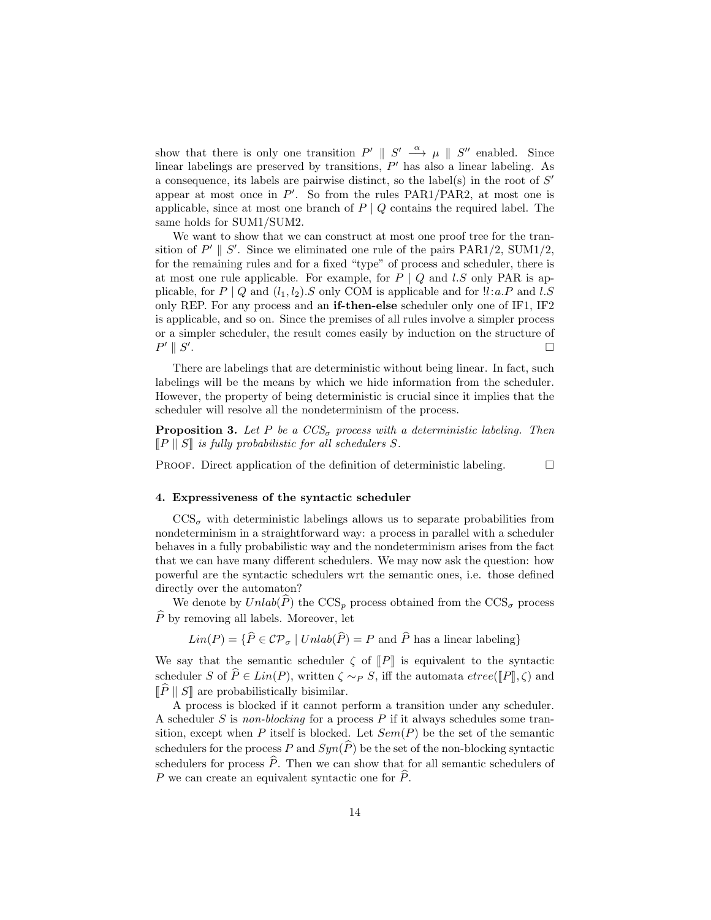show that there is only one transition  $P' \parallel S' \stackrel{\alpha}{\longrightarrow} \mu \parallel S''$  enabled. Since linear labelings are preserved by transitions,  $P'$  has also a linear labeling. As a consequence, its labels are pairwise distinct, so the label(s) in the root of  $S'$ appear at most once in  $P'$ . So from the rules PAR1/PAR2, at most one is applicable, since at most one branch of  $P \mid Q$  contains the required label. The same holds for SUM1/SUM2.

We want to show that we can construct at most one proof tree for the transition of  $P' \parallel S'$ . Since we eliminated one rule of the pairs PAR1/2, SUM1/2, for the remaining rules and for a fixed "type" of process and scheduler, there is at most one rule applicable. For example, for  $P \mid Q$  and l.S only PAR is applicable, for  $P \mid Q$  and  $(l_1, l_2)$ . S only COM is applicable and for  $l.l.a.P$  and  $l.S$ only REP. For any process and an if-then-else scheduler only one of IF1, IF2 is applicable, and so on. Since the premises of all rules involve a simpler process or a simpler scheduler, the result comes easily by induction on the structure of  $P' \parallel S'$ .

There are labelings that are deterministic without being linear. In fact, such labelings will be the means by which we hide information from the scheduler. However, the property of being deterministic is crucial since it implies that the scheduler will resolve all the nondeterminism of the process.

**Proposition 3.** Let P be a  $CCS_{\sigma}$  process with a deterministic labeling. Then  $\llbracket P \rrbracket$  S is fully probabilistic for all schedulers S.

PROOF. Direct application of the definition of deterministic labeling.  $\Box$ 

#### 4. Expressiveness of the syntactic scheduler

 $\mathrm{CCS}_{\sigma}$  with deterministic labelings allows us to separate probabilities from nondeterminism in a straightforward way: a process in parallel with a scheduler behaves in a fully probabilistic way and the nondeterminism arises from the fact that we can have many different schedulers. We may now ask the question: how powerful are the syntactic schedulers wrt the semantic ones, i.e. those defined directly over the automaton?

We denote by  $Unlab(\hat{P})$  the CCS<sub>p</sub> process obtained from the CCS<sub>p</sub> process  $\hat{P}$  by removing all labels. Moreover, let

 $Lin(P) = \{ \widehat{P} \in \mathcal{CP}_{\sigma} \mid Unlab(\widehat{P}) = P \text{ and } \widehat{P} \text{ has a linear labeling} \}$ 

We say that the semantic scheduler  $\zeta$  of  $\llbracket P \rrbracket$  is equivalent to the syntactic scheduler S of  $\widehat{P} \in Lin(P)$ , written  $\zeta \sim_P S$ , iff the automata  $etree(\P P \|, \zeta)$  and  $\Vert \widehat{P} \Vert S \Vert$  are probabilistically bisimilar.

A process is blocked if it cannot perform a transition under any scheduler. A scheduler  $S$  is non-blocking for a process  $P$  if it always schedules some transition, except when P itself is blocked. Let  $Sem(P)$  be the set of the semantic schedulers for the process P and  $Syn(\widehat{P})$  be the set of the non-blocking syntactic schedulers for process  $\hat{P}$ . Then we can show that for all semantic schedulers of P we can create an equivalent syntactic one for  $\hat{P}$ .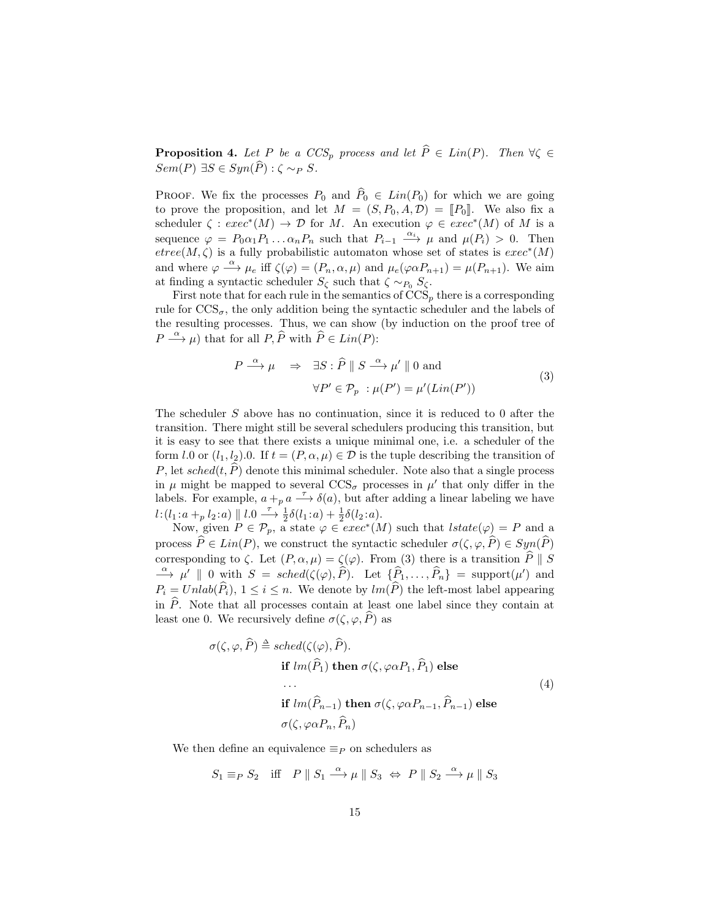**Proposition 4.** Let P be a  $CCS_p$  process and let  $\widehat{P} \in Lin(P)$ . Then  $\forall \zeta \in$  $Sem(P) \exists S \in Sym(\widehat{P}) : \zeta \sim_P S.$ 

PROOF. We fix the processes  $P_0$  and  $\widehat{P}_0 \in Lin(P_0)$  for which we are going to prove the proposition, and let  $M = (S, P_0, A, \mathcal{D}) = [P_0]$ . We also fix a scheduler  $\zeta : exec^*(M) \to \mathcal{D}$  for M. An execution  $\varphi \in exec^*(M)$  of M is a sequence  $\varphi = P_0 \alpha_1 P_1 \dots \alpha_n P_n$  such that  $P_{i-1} \xrightarrow{\alpha_i} \mu$  and  $\mu(P_i) > 0$ . Then  $etree(M, \zeta)$  is a fully probabilistic automaton whose set of states is  $exec^*(M)$ and where  $\varphi \stackrel{\alpha}{\longrightarrow} \mu_e$  iff  $\zeta(\varphi) = (P_n, \alpha, \mu)$  and  $\mu_e(\varphi \alpha P_{n+1}) = \mu(P_{n+1})$ . We aim at finding a syntactic scheduler  $S_{\zeta}$  such that  $\zeta \sim_{P_0} S_{\zeta}$ .

First note that for each rule in the semantics of  $CCS_p$  there is a corresponding rule for  $\text{CCS}_{\sigma}$ , the only addition being the syntactic scheduler and the labels of the resulting processes. Thus, we can show (by induction on the proof tree of  $P \stackrel{\alpha}{\longrightarrow} \mu$ ) that for all  $P, \widehat{P}$  with  $\widehat{P} \in Lin(P)$ :

$$
P \stackrel{\alpha}{\longrightarrow} \mu \quad \Rightarrow \quad \exists S : \widehat{P} \parallel S \stackrel{\alpha}{\longrightarrow} \mu' \parallel 0 \text{ and}
$$

$$
\forall P' \in \mathcal{P}_p : \mu(P') = \mu'(Lin(P')) \tag{3}
$$

The scheduler S above has no continuation, since it is reduced to 0 after the transition. There might still be several schedulers producing this transition, but it is easy to see that there exists a unique minimal one, i.e. a scheduler of the form l.0 or  $(l_1, l_2)$ .0. If  $t = (P, \alpha, \mu) \in \mathcal{D}$  is the tuple describing the transition of P, let sched $(t, \hat{P})$  denote this minimal scheduler. Note also that a single process in  $\mu$  might be mapped to several  $\text{CCS}_{\sigma}$  processes in  $\mu'$  that only differ in the labels. For example,  $a + p a \rightarrow \delta(a)$ , but after adding a linear labeling we have  $l: (l_1: a +_p l_2: a) \parallel l. 0 \longrightarrow \frac{\tau}{2} \delta(l_1: a) + \frac{1}{2} \delta(l_2: a).$ 

Now, given  $P \in \mathcal{P}_p$ , a state  $\varphi \in \mathscr{E}(M)$  such that  $lstate(\varphi) = P$  and a process  $\widehat{P} \in Lin(P)$ , we construct the syntactic scheduler  $\sigma(\zeta, \varphi, \widehat{P}) \in Sym(\widehat{P})$ corresponding to  $\zeta$ . Let  $(P, \alpha, \mu) = \zeta(\varphi)$ . From (3) there is a transition  $\widehat{P} \parallel S$  $\xrightarrow{\alpha} \mu' \parallel 0$  with  $S = \text{sched}(\zeta(\varphi), \widehat{P})$ . Let  $\{\widehat{P}_1, \ldots, \widehat{P}_n\} = \text{support}(\mu')$  and  $P_i = Unlab(\widehat{P}_i), 1 \leq i \leq n$ . We denote by  $lm(\widehat{P})$  the left-most label appearing in  $\hat{P}$ . Note that all processes contain at least one label since they contain at least one 0. We recursively define  $\sigma(\zeta, \varphi, \widehat{P})$  as

$$
\sigma(\zeta, \varphi, \widehat{P}) \triangleq \operatorname{sched}(\zeta(\varphi), \widehat{P}).
$$
  
\nif  $lm(\widehat{P}_1)$  then  $\sigma(\zeta, \varphi \alpha P_1, \widehat{P}_1)$  else  
\n...  
\nif  $lm(\widehat{P}_{n-1})$  then  $\sigma(\zeta, \varphi \alpha P_{n-1}, \widehat{P}_{n-1})$  else  
\n
$$
\sigma(\zeta, \varphi \alpha P_n, \widehat{P}_n)
$$
\n(4)

We then define an equivalence  $\equiv_P$  on schedulers as

$$
S_1 \equiv_P S_2 \quad \text{iff} \quad P \parallel S_1 \stackrel{\alpha}{\longrightarrow} \mu \parallel S_3 \Leftrightarrow P \parallel S_2 \stackrel{\alpha}{\longrightarrow} \mu \parallel S_3
$$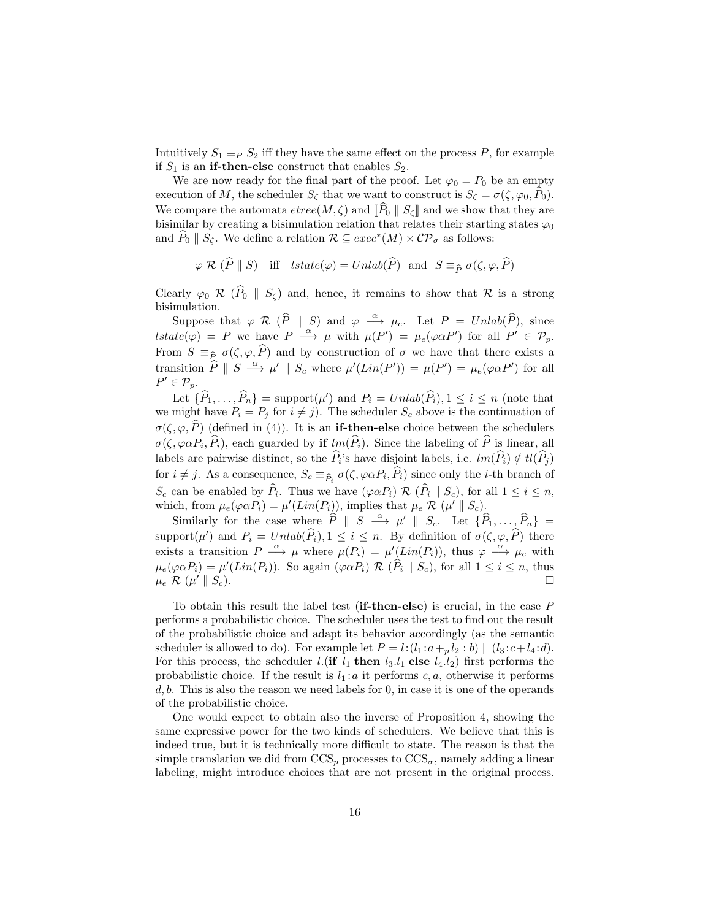Intuitively  $S_1 \equiv_P S_2$  iff they have the same effect on the process P, for example if  $S_1$  is an **if-then-else** construct that enables  $S_2$ .

We are now ready for the final part of the proof. Let  $\varphi_0 = P_0$  be an empty execution of M, the scheduler  $S_{\zeta}$  that we want to construct is  $S_{\zeta} = \sigma(\zeta, \varphi_0, P_0)$ . We compare the automata  $\text{etree}(M, \zeta)$  and  $\overline{[P_0 \mid S_{\zeta}]}$  and we show that they are bisimilar by creating a bisimulation relation that relates their starting states  $\varphi_0$ and  $\widehat{P}_0 \parallel S_{\zeta}$ . We define a relation  $\mathcal{R} \subseteq exec^*(M) \times \mathcal{CP}_{\sigma}$  as follows:

$$
\varphi \mathcal{R} (\widehat{P} \parallel S)
$$
 iff  $lstate(\varphi) = Unlab(\widehat{P})$  and  $S \equiv_{\widehat{P}} \sigma(\zeta, \varphi, \widehat{P})$ 

Clearly  $\varphi_0 \mathcal{R}$  ( $\hat{P}_0 \parallel S_{\zeta}$ ) and, hence, it remains to show that  $\mathcal{R}$  is a strong bisimulation.

Suppose that  $\varphi \mathcal{R}$  ( $\widehat{P} \parallel S$ ) and  $\varphi \stackrel{\alpha}{\longrightarrow} \mu_e$ . Let  $P = Unlab(\widehat{P})$ , since  $\textit{Istate}(\varphi) = P \text{ we have } P \stackrel{\alpha}{\longrightarrow} \mu \text{ with } \mu(P') = \mu_e(\varphi \alpha P') \text{ for all } P' \in \mathcal{P}_p.$ From  $S \equiv_{\widehat{P}} \sigma(\zeta, \varphi, \widehat{P})$  and by construction of  $\sigma$  we have that there exists a transition  $\hat{P} \parallel S \stackrel{\alpha}{\longrightarrow} \mu' \parallel S_c$  where  $\mu'(Lin(P')) = \mu(P') = \mu_e(\varphi \alpha P')$  for all  $P' \in \mathcal{P}_p$ .

Let  $\{\widehat{P}_1, \ldots, \widehat{P}_n\} = \text{support}(\mu')$  and  $P_i = Unlab(\widehat{P}_i), 1 \le i \le n$  (note that we might have  $P_i = P_j$  for  $i \neq j$ . The scheduler  $S_c$  above is the continuation of  $\sigma(\zeta, \varphi, \widehat{P})$  (defined in (4)). It is an **if-then-else** choice between the schedulers  $\sigma(\zeta, \varphi \alpha P_i, P_i)$ , each guarded by if  $lm(P_i)$ . Since the labeling of P is linear, all labels are pairwise distinct, so the  $P_i$ 's have disjoint labels, i.e.  $lm(P_i) \notin tl(P_j)$ for  $i \neq j$ . As a consequence,  $S_c \equiv_{\widehat{P}_i} \sigma(\zeta, \varphi \alpha P_i, P_i)$  since only the *i*-th branch of  $S_c$  can be enabled by  $P_i$ . Thus we have  $(\varphi \alpha P_i) \mathcal{R} (P_i || S_c)$ , for all  $1 \leq i \leq n$ , which, from  $\mu_e(\varphi \alpha P_i) = \mu'(Lin(P_i))$ , implies that  $\mu_e \mathcal{R}(\mu' \parallel S_c)$ .

Similarly for the case where  $\widehat{P} \parallel S \stackrel{\alpha}{\longrightarrow} \mu' \parallel S_c$ . Let  $\{\widehat{P}_1, \ldots, \widehat{P}_n\} =$ support $(\mu')$  and  $P_i = Unlab(\widehat{P}_i), 1 \leq i \leq n$ . By definition of  $\sigma(\zeta, \varphi, \widehat{P})$  there exists a transition  $P \stackrel{\alpha}{\longrightarrow} \mu$  where  $\mu(P_i) = \mu'(Lin(P_i))$ , thus  $\varphi \stackrel{\alpha}{\longrightarrow} \mu_e$  with  $\mu_e(\varphi \alpha P_i) = \mu'(Lin(P_i)).$  So again  $(\varphi \alpha P_i) \mathcal{R} (\widehat{P}_i \parallel S_c)$ , for all  $1 \leq i \leq n$ , thus  $\mu_e \mathcal{R} (\mu' \parallel S_c).$  $\mathcal{O}(||S_c).$ 

To obtain this result the label test (if-then-else) is crucial, in the case P performs a probabilistic choice. The scheduler uses the test to find out the result of the probabilistic choice and adapt its behavior accordingly (as the semantic scheduler is allowed to do). For example let  $P = l : (l_1 : a +_p l_2 : b) | (l_3 : c + l_4 : d)$ . For this process, the scheduler *l*.(**if**  $l_1$  **then**  $l_3.l_1$  **else**  $l_4.l_2$ ) first performs the probabilistic choice. If the result is  $l_1 : a$  it performs c, a, otherwise it performs  $d, b$ . This is also the reason we need labels for 0, in case it is one of the operands of the probabilistic choice.

One would expect to obtain also the inverse of Proposition 4, showing the same expressive power for the two kinds of schedulers. We believe that this is indeed true, but it is technically more difficult to state. The reason is that the simple translation we did from  $CCS_p$  processes to  $CCS_\sigma$ , namely adding a linear labeling, might introduce choices that are not present in the original process.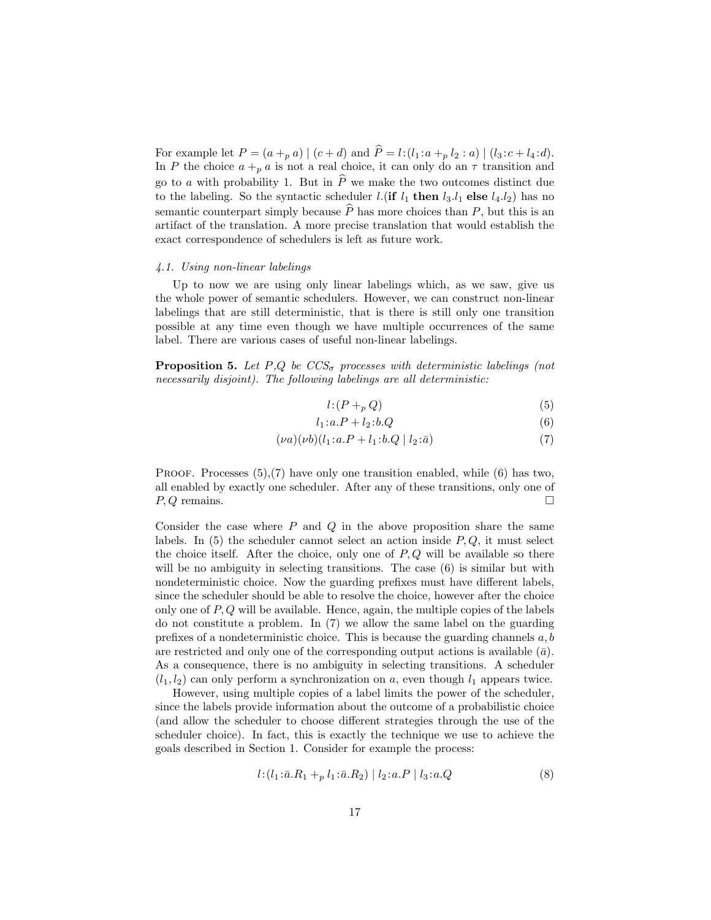For example let  $P = (a + p a) | (c + d)$  and  $P = l : (l_1 : a + p l_2 : a) | (l_3 : c + l_4 : d).$ In P the choice  $a + p a$  is not a real choice, it can only do an  $\tau$  transition and go to a with probability 1. But in  $\widehat{P}$  we make the two outcomes distinct due to the labeling. So the syntactic scheduler *l*.(if  $l_1$  then  $l_3.l_1$  else  $l_4.l_2$ ) has no semantic counterpart simply because  $\widehat{P}$  has more choices than P, but this is an artifact of the translation. A more precise translation that would establish the exact correspondence of schedulers is left as future work.

#### 4.1. Using non-linear labelings

Up to now we are using only linear labelings which, as we saw, give us the whole power of semantic schedulers. However, we can construct non-linear labelings that are still deterministic, that is there is still only one transition possible at any time even though we have multiple occurrences of the same label. There are various cases of useful non-linear labelings.

**Proposition 5.** Let P,Q be  $CCS_{\sigma}$  processes with deterministic labelings (not necessarily disjoint). The following labelings are all deterministic:

$$
l: (P +_p Q) \tag{5}
$$

$$
l_1: a.P + l_2: b.Q \tag{6}
$$

$$
(\nu a)(\nu b)(l_1 : a.P + l_1 : b.Q \mid l_2 : \bar{a})
$$
\n(7)

PROOF. Processes  $(5)$ , $(7)$  have only one transition enabled, while  $(6)$  has two, all enabled by exactly one scheduler. After any of these transitions, only one of  $P, Q$  remains.

Consider the case where  $P$  and  $Q$  in the above proposition share the same labels. In  $(5)$  the scheduler cannot select an action inside  $P, Q$ , it must select the choice itself. After the choice, only one of  $P, Q$  will be available so there will be no ambiguity in selecting transitions. The case  $(6)$  is similar but with nondeterministic choice. Now the guarding prefixes must have different labels, since the scheduler should be able to resolve the choice, however after the choice only one of  $P, Q$  will be available. Hence, again, the multiple copies of the labels do not constitute a problem. In (7) we allow the same label on the guarding prefixes of a nondeterministic choice. This is because the guarding channels  $a, b$ are restricted and only one of the corresponding output actions is available  $(\bar{a})$ . As a consequence, there is no ambiguity in selecting transitions. A scheduler  $(l_1, l_2)$  can only perform a synchronization on a, even though  $l_1$  appears twice.

However, using multiple copies of a label limits the power of the scheduler, since the labels provide information about the outcome of a probabilistic choice (and allow the scheduler to choose different strategies through the use of the scheduler choice). In fact, this is exactly the technique we use to achieve the goals described in Section 1. Consider for example the process:

$$
l: (l_1: \bar{a}.R_1 +_p l_1: \bar{a}.R_2) | l_2: a.P | l_3: a.Q
$$
 (8)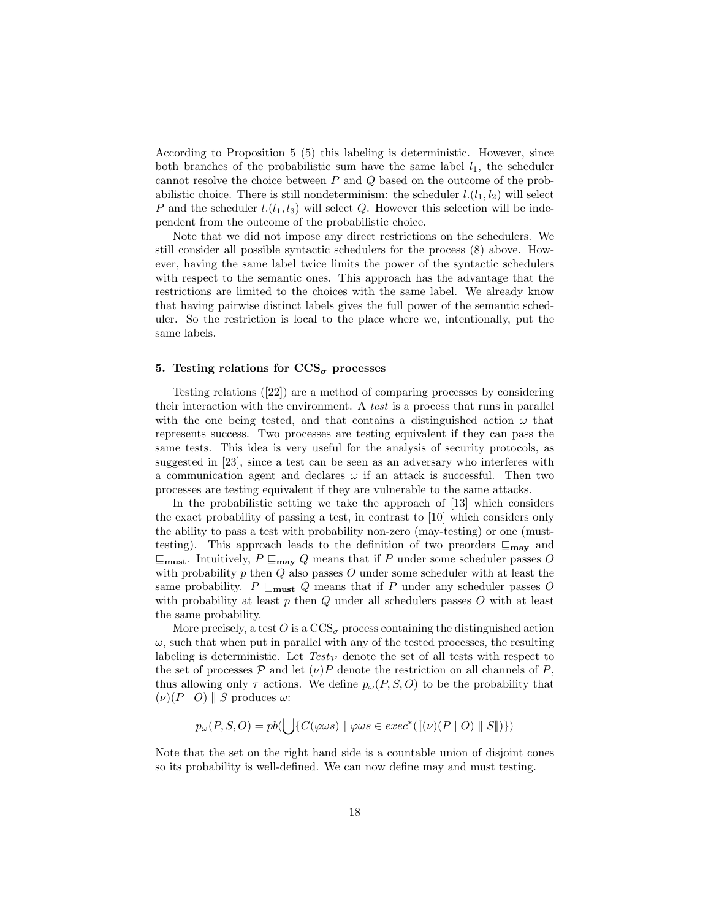According to Proposition 5 (5) this labeling is deterministic. However, since both branches of the probabilistic sum have the same label  $l_1$ , the scheduler cannot resolve the choice between  $P$  and  $Q$  based on the outcome of the probabilistic choice. There is still nondeterminism: the scheduler  $l.(l_1, l_2)$  will select P and the scheduler  $l(l_1, l_3)$  will select Q. However this selection will be independent from the outcome of the probabilistic choice.

Note that we did not impose any direct restrictions on the schedulers. We still consider all possible syntactic schedulers for the process (8) above. However, having the same label twice limits the power of the syntactic schedulers with respect to the semantic ones. This approach has the advantage that the restrictions are limited to the choices with the same label. We already know that having pairwise distinct labels gives the full power of the semantic scheduler. So the restriction is local to the place where we, intentionally, put the same labels.

#### 5. Testing relations for  $\text{CCS}_{\sigma}$  processes

Testing relations ([22]) are a method of comparing processes by considering their interaction with the environment. A test is a process that runs in parallel with the one being tested, and that contains a distinguished action  $\omega$  that represents success. Two processes are testing equivalent if they can pass the same tests. This idea is very useful for the analysis of security protocols, as suggested in [23], since a test can be seen as an adversary who interferes with a communication agent and declares  $\omega$  if an attack is successful. Then two processes are testing equivalent if they are vulnerable to the same attacks.

In the probabilistic setting we take the approach of [13] which considers the exact probability of passing a test, in contrast to [10] which considers only the ability to pass a test with probability non-zero (may-testing) or one (musttesting). This approach leads to the definition of two preorders  $\sqsubseteq_{\text{may}}$  and  $\sqsubseteq_{\text{must}}$ . Intuitively,  $P \sqsubseteq_{\text{may}} Q$  means that if P under some scheduler passes O with probability  $p$  then  $Q$  also passes  $O$  under some scheduler with at least the same probability.  $P \sqsubseteq_{\text{must}} Q$  means that if P under any scheduler passes O with probability at least  $p$  then  $Q$  under all schedulers passes  $O$  with at least the same probability.

More precisely, a test  $O$  is a  $\text{CCS}_{\sigma}$  process containing the distinguished action  $\omega$ , such that when put in parallel with any of the tested processes, the resulting labeling is deterministic. Let  $Test_{\mathcal{P}}$  denote the set of all tests with respect to the set of processes  $P$  and let  $(\nu)P$  denote the restriction on all channels of P, thus allowing only  $\tau$  actions. We define  $p_{\omega}(P, S, O)$  to be the probability that  $(\nu)(P | O)$  S produces  $\omega$ :

$$
p_{\omega}(P, S, O) = pb(\bigcup \{ C(\varphi \omega s) \mid \varphi \omega s \in exec^*([\lbrack (\nu)(P \mid O) \parallel S \rbrack ) \})
$$

Note that the set on the right hand side is a countable union of disjoint cones so its probability is well-defined. We can now define may and must testing.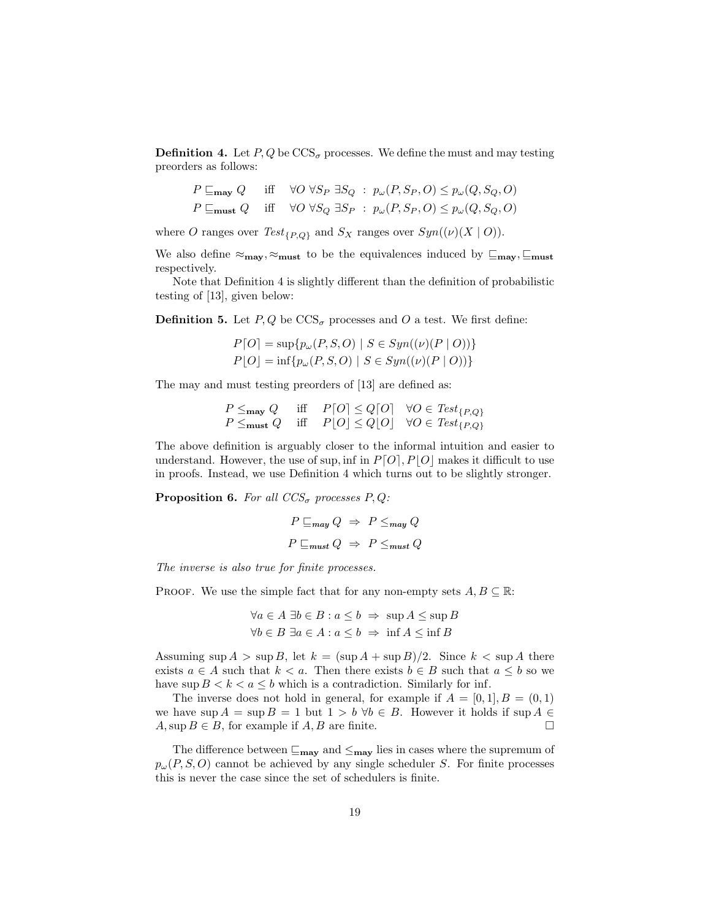**Definition 4.** Let  $P, Q$  be  $\text{CCS}_{\sigma}$  processes. We define the must and may testing preorders as follows:

$$
P \sqsubseteq_{\text{may}} Q \quad \text{iff} \quad \forall O \,\forall S_P \,\exists S_Q : p_\omega(P, S_P, O) \le p_\omega(Q, S_Q, O)
$$
  

$$
P \sqsubseteq_{\text{must}} Q \quad \text{iff} \quad \forall O \,\forall S_Q \,\exists S_P : p_\omega(P, S_P, O) \le p_\omega(Q, S_Q, O)
$$

where O ranges over  $Test_{\{P,Q\}}$  and  $S_X$  ranges over  $Syn((\nu)(X \mid O)).$ 

We also define  $\approx_{\text{may}}, \approx_{\text{must}}$  to be the equivalences induced by  $\subseteq_{\text{may}}, \subseteq_{\text{must}}$ respectively.

Note that Definition 4 is slightly different than the definition of probabilistic testing of [13], given below:

**Definition 5.** Let  $P, Q$  be  $\text{CCS}_{\sigma}$  processes and O a test. We first define:

$$
P[O] = \sup \{ p_{\omega}(P, S, O) \mid S \in Sym((\nu)(P \mid O)) \}
$$
  

$$
P[O] = \inf \{ p_{\omega}(P, S, O) \mid S \in Sym((\nu)(P \mid O)) \}
$$

The may and must testing preorders of [13] are defined as:

$$
\begin{array}{ll}\nP \leq_{\text{may}} Q & \text{iff} & P[O] \leq Q[O] & \forall O \in \text{Test}_{\{P,Q\}} \\
P \leq_{\text{must}} Q & \text{iff} & P[O] \leq Q[O] & \forall O \in \text{Test}_{\{P,Q\}}\n\end{array}
$$

The above definition is arguably closer to the informal intuition and easier to understand. However, the use of sup, inf in  $P[O], P[O]$  makes it difficult to use in proofs. Instead, we use Definition 4 which turns out to be slightly stronger.

**Proposition 6.** For all  $CCS_{\sigma}$  processes P, Q:

$$
P \sqsubseteq_{\text{may}} Q \Rightarrow P \leq_{\text{may}} Q
$$

$$
P \sqsubseteq_{\text{must}} Q \Rightarrow P \leq_{\text{must}} Q
$$

The inverse is also true for finite processes.

PROOF. We use the simple fact that for any non-empty sets  $A, B \subseteq \mathbb{R}$ :

$$
\forall a \in A \exists b \in B : a \le b \implies \sup A \le \sup B
$$
  

$$
\forall b \in B \exists a \in A : a \le b \implies \inf A \le \inf B
$$

Assuming sup  $A > \sup B$ , let  $k = (\sup A + \sup B)/2$ . Since  $k < \sup A$  there exists  $a \in A$  such that  $k < a$ . Then there exists  $b \in B$  such that  $a \leq b$  so we have  $\sup B < k < a \leq b$  which is a contradiction. Similarly for inf.

The inverse does not hold in general, for example if  $A = [0, 1], B = (0, 1)$ we have sup  $A = \sup B = 1$  but  $1 > b \forall b \in B$ . However it holds if  $\sup A \in A$ . Sup  $B \in B$ , for example if A, B are finite.  $A, \sup B \in B$ , for example if  $A, B$  are finite.

The difference between  $\mathcal{F}_{\mathbf{may}}$  and  $\mathcal{F}_{\mathbf{may}}$  lies in cases where the supremum of  $p_{\omega}(P, S, O)$  cannot be achieved by any single scheduler S. For finite processes this is never the case since the set of schedulers is finite.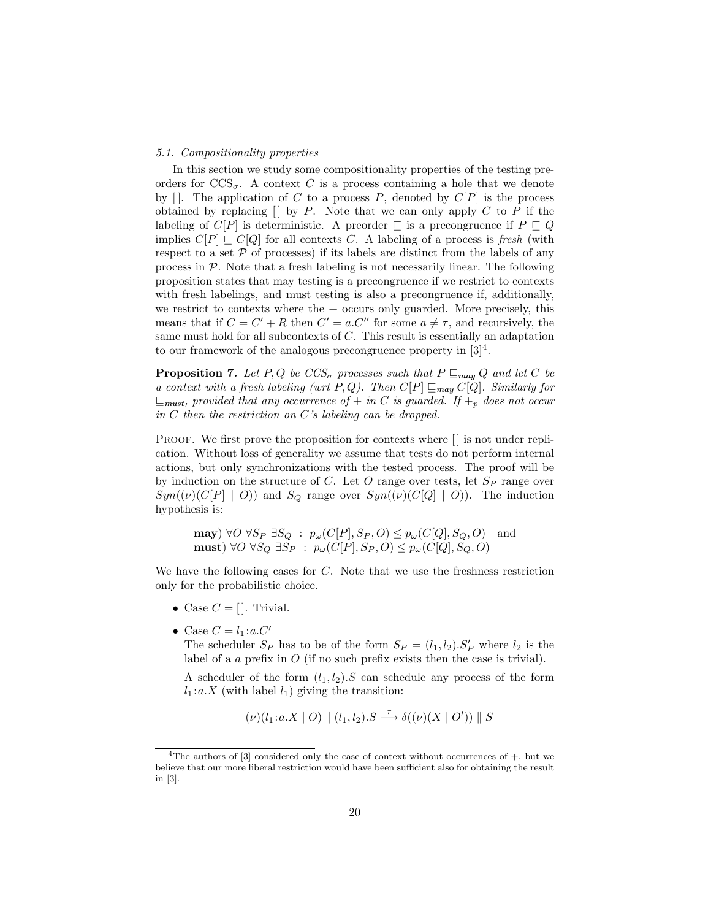#### 5.1. Compositionality properties

In this section we study some compositionality properties of the testing preorders for  $\text{CCS}_{\sigma}$ . A context C is a process containing a hole that we denote by  $[$ . The application of C to a process P, denoted by  $C[P]$  is the process obtained by replacing  $\Box$  by P. Note that we can only apply C to P if the labeling of  $C[P]$  is deterministic. A preorder  $\Box$  is a precongruence if  $P \Box Q$ implies  $C[P] \sqsubseteq C[Q]$  for all contexts C. A labeling of a process is fresh (with respect to a set  $P$  of processes) if its labels are distinct from the labels of any process in  $P$ . Note that a fresh labeling is not necessarily linear. The following proposition states that may testing is a precongruence if we restrict to contexts with fresh labelings, and must testing is also a precongruence if, additionally, we restrict to contexts where the  $+$  occurs only guarded. More precisely, this means that if  $C = C' + R$  then  $C' = a.C''$  for some  $a \neq \tau$ , and recursively, the same must hold for all subcontexts of C. This result is essentially an adaptation to our framework of the analogous precongruence property in  $[3]^4$ .

**Proposition 7.** Let P, Q be  $CCS_{\sigma}$  processes such that  $P \sqsubseteq_{\textit{may}} Q$  and let C be a context with a fresh labeling (wrt P, Q). Then  $C[P] \sqsubseteq_{\text{may}} C[Q]$ . Similarly for  $\sqsubseteq_{\text{must}}$ , provided that any occurrence of  $+$  in C is guarded. If  $+_{p}$  does not occur in  $C$  then the restriction on  $C$ 's labeling can be dropped.

PROOF. We first prove the proposition for contexts where  $\lfloor \cdot \rfloor$  is not under replication. Without loss of generality we assume that tests do not perform internal actions, but only synchronizations with the tested process. The proof will be by induction on the structure of C. Let  $O$  range over tests, let  $S_P$  range over  $Syn((\nu)(C[P] | O))$  and  $S_Q$  range over  $Syn((\nu)(C[Q] | O))$ . The induction hypothesis is:

**may**)  $\forall O \ \forall S_P \ \exists S_Q : p_\omega(C[P], S_P, O) \leq p_\omega(C[Q], S_Q, O)$  and must)  $\forall O \ \forall S_Q \ \exists S_P : p_\omega(C[P], S_P, O) \leq p_\omega(C[Q], S_Q, O)$ 

We have the following cases for C. Note that we use the freshness restriction only for the probabilistic choice.

- Case  $C = []$ . Trivial.
- Case  $C = l_1 : a.C'$

The scheduler  $S_P$  has to be of the form  $S_P = (l_1, l_2) . S'_P$  where  $l_2$  is the label of a  $\bar{a}$  prefix in O (if no such prefix exists then the case is trivial).

A scheduler of the form  $(l_1, l_2)$ . S can schedule any process of the form  $l_1: a.X$  (with label  $l_1$ ) giving the transition:

$$
(\nu)(l_1:a.X \mid O) \parallel (l_1,l_2).S \stackrel{\tau}{\longrightarrow} \delta((\nu)(X \mid O')) \parallel S
$$

<sup>&</sup>lt;sup>4</sup>The authors of  $[3]$  considered only the case of context without occurrences of  $+$ , but we believe that our more liberal restriction would have been sufficient also for obtaining the result in [3].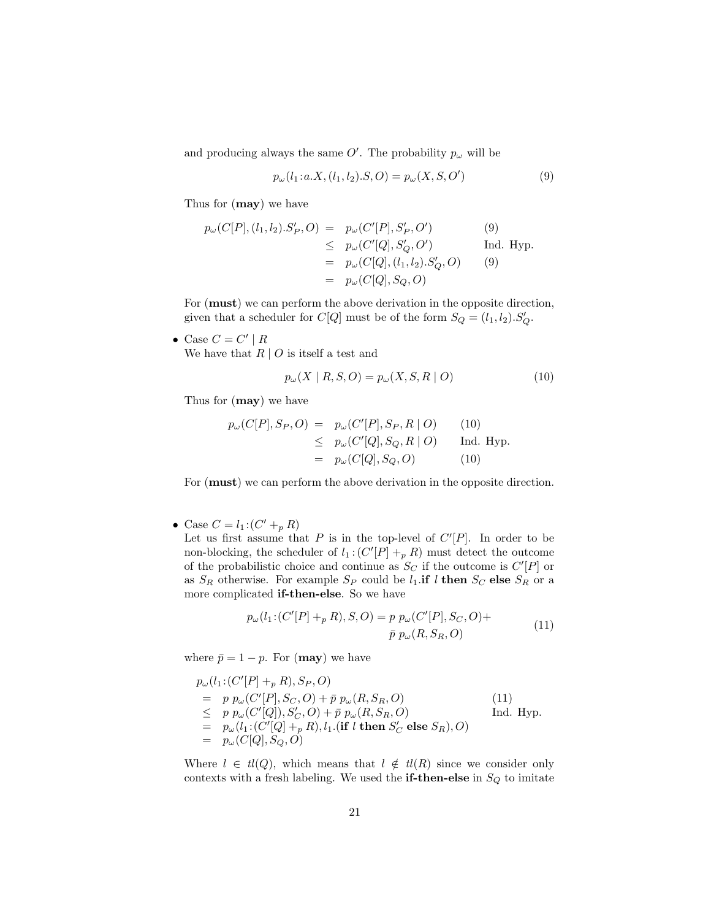and producing always the same  $O'$ . The probability  $p_{\omega}$  will be

$$
p_{\omega}(l_1: a.X, (l_1, l_2).S, O) = p_{\omega}(X, S, O')
$$
\n(9)

Thus for (may) we have

$$
p_{\omega}(C[P], (l_1, l_2).S'_P, O) = p_{\omega}(C'[P], S'_P, O')
$$
(9)  

$$
\leq p_{\omega}(C'[Q], S'_Q, O')
$$
Ind. Hyp.  

$$
= p_{\omega}(C[Q], (l_1, l_2).S'_Q, O)
$$
(9)  

$$
= p_{\omega}(C[Q], S_Q, O)
$$

For (must) we can perform the above derivation in the opposite direction, given that a scheduler for  $C[Q]$  must be of the form  $S_Q = (l_1, l_2) . S'_Q$ .

• Case  $C = C' | R$ We have that  $R \mid O$  is itself a test and

$$
p_{\omega}(X \mid R, S, O) = p_{\omega}(X, S, R \mid O)
$$
\n<sup>(10)</sup>

Thus for (may) we have

$$
p_{\omega}(C[P], S_P, O) = p_{\omega}(C'[P], S_P, R | O)
$$
 (10)  
\n
$$
\leq p_{\omega}(C'[Q], S_Q, R | O)
$$
 Ind. Hyp.  
\n
$$
= p_{\omega}(C[Q], S_Q, O)
$$
 (10)

For (must) we can perform the above derivation in the opposite direction.

• Case  $C = l_1 : (C' +_p R)$ 

Let us first assume that  $P$  is in the top-level of  $C'[P]$ . In order to be non-blocking, the scheduler of  $l_1$ :  $(C'[P] +_p R)$  must detect the outcome of the probabilistic choice and continue as  $S_C$  if the outcome is  $C'[P]$  or as  $S_R$  otherwise. For example  $S_P$  could be  $l_1$  if l then  $S_C$  else  $S_R$  or a more complicated if-then-else. So we have

$$
p_{\omega}(l_1:(C'[P] +_p R), S, O) = p p_{\omega}(C'[P], S_C, O) +
$$
  

$$
\bar{p} p_{\omega}(R, S_R, O)
$$
 (11)

where  $\bar{p} = 1 - p$ . For (**may**) we have

$$
p_{\omega}(l_{1}: (C'[P] +_{p} R), S_{P}, O)
$$
  
=  $p p_{\omega}(C'[P], S_{C}, O) + \bar{p} p_{\omega}(R, S_{R}, O)$  (11)  
 $\leq p p_{\omega}(C'[Q]), S'_{C}, O) + \bar{p} p_{\omega}(R, S_{R}, O)$  Ind. Hyp.  
=  $p_{\omega}(l_{1}: (C'[Q] +_{p} R), l_{1}: (if l \text{ then } S'_{C} \text{ else } S_{R}), O)$   
=  $p_{\omega}(C[Q], S_{Q}, O)$ 

Where  $l \in tl(Q)$ , which means that  $l \notin tl(R)$  since we consider only contexts with a fresh labeling. We used the  ${\bf if\text{-}then\text{-}else}$  in  $S_Q$  to imitate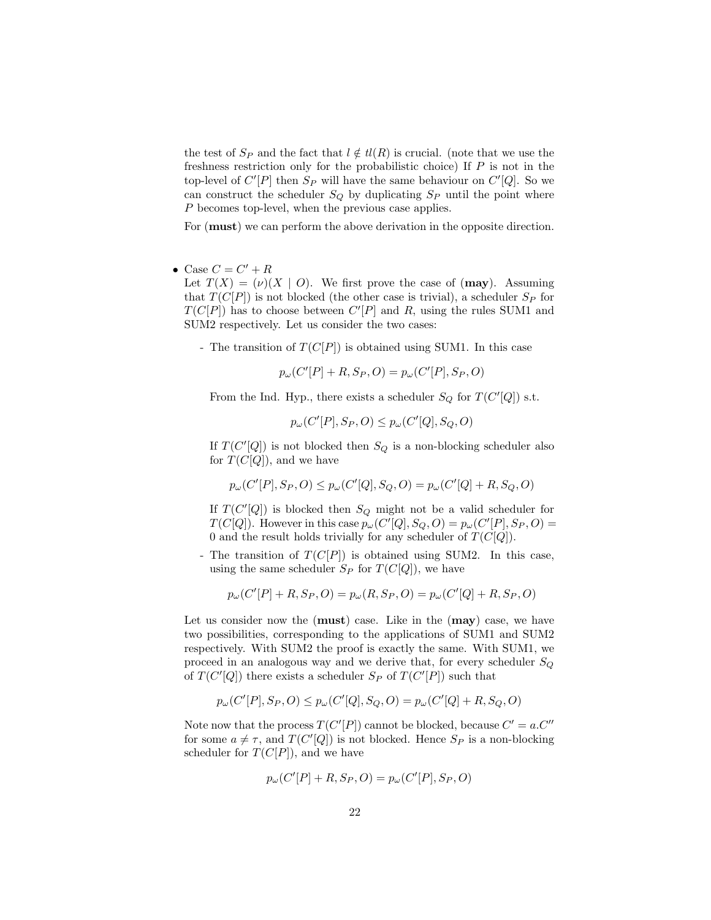the test of  $S_P$  and the fact that  $l \notin tl(R)$  is crucial. (note that we use the freshness restriction only for the probabilistic choice) If  $P$  is not in the top-level of  $C'[P]$  then  $S_P$  will have the same behaviour on  $C'[Q]$ . So we can construct the scheduler  $S_Q$  by duplicating  $S_P$  until the point where P becomes top-level, when the previous case applies.

For (must) we can perform the above derivation in the opposite direction.

• Case  $C = C' + R$ 

Let  $T(X) = (\nu)(X \mid O)$ . We first prove the case of (may). Assuming that  $T(C[P])$  is not blocked (the other case is trivial), a scheduler  $S_P$  for  $T(C[P])$  has to choose between  $C'[P]$  and R, using the rules SUM1 and SUM2 respectively. Let us consider the two cases:

- The transition of  $T(C[P])$  is obtained using SUM1. In this case

 $p_{\omega}(C'[P] + R, S_P, O) = p_{\omega}(C'[P], S_P, O)$ 

From the Ind. Hyp., there exists a scheduler  $S_Q$  for  $T(C'[Q])$  s.t.

$$
p_{\omega}(C'[P], S_P, O) \le p_{\omega}(C'[Q], S_Q, O)
$$

If  $T(C'[Q])$  is not blocked then  $S_Q$  is a non-blocking scheduler also for  $T(C[Q])$ , and we have

$$
p_\omega(C'[P],S_P,O)\leq p_\omega(C'[Q],S_Q,O)=p_\omega(C'[Q]+R,S_Q,O)
$$

If  $T(C'[Q])$  is blocked then  $S_Q$  might not be a valid scheduler for  $T(C[Q])$ . However in this case  $p_{\omega}(C'[Q], S_Q, O) = p_{\omega}(C'[P], S_P, O) =$ 0 and the result holds trivially for any scheduler of  $T(C[Q])$ .

- The transition of  $T(C[P])$  is obtained using SUM2. In this case, using the same scheduler  $S_P$  for  $T(C[Q])$ , we have

$$
p_{\omega}(C'[P] + R, S_P, O) = p_{\omega}(R, S_P, O) = p_{\omega}(C'[Q] + R, S_P, O)
$$

Let us consider now the  $(must)$  case. Like in the  $(may)$  case, we have two possibilities, corresponding to the applications of SUM1 and SUM2 respectively. With SUM2 the proof is exactly the same. With SUM1, we proceed in an analogous way and we derive that, for every scheduler  $S_Q$ of  $T(C'[Q])$  there exists a scheduler  $S_P$  of  $T(C'[P])$  such that

$$
p_\omega(C'[P],S_P,O)\leq p_\omega(C'[Q],S_Q,O)=p_\omega(C'[Q]+R,S_Q,O)
$$

Note now that the process  $T(C'[P])$  cannot be blocked, because  $C' = a.C''$ for some  $a \neq \tau$ , and  $T(C'[Q])$  is not blocked. Hence  $S_P$  is a non-blocking scheduler for  $T(C[P])$ , and we have

$$
p_{\omega}(C'[P] + R, S_P, O) = p_{\omega}(C'[P], S_P, O)
$$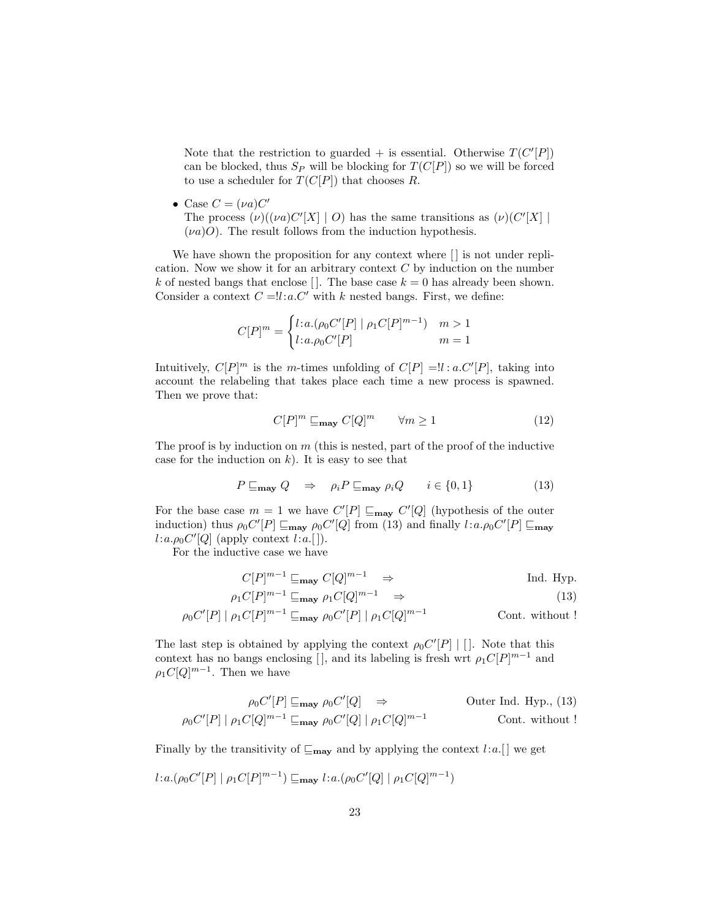Note that the restriction to guarded  $+$  is essential. Otherwise  $T(C'[P])$ can be blocked, thus  $S_P$  will be blocking for  $T(C[P])$  so we will be forced to use a scheduler for  $T(C[P])$  that chooses R.

• Case  $C = (\nu a)C'$ The process  $(\nu)((\nu a)C'[X] \mid O)$  has the same transitions as  $(\nu)(C'[X] \mid O)$  $(\nu a)O$ . The result follows from the induction hypothesis.

We have shown the proposition for any context where  $\lfloor \cdot \rfloor$  is not under replication. Now we show it for an arbitrary context  $C$  by induction on the number k of nested bangs that enclose []. The base case  $k = 0$  has already been shown. Consider a context  $C = l l : a.C'$  with k nested bangs. First, we define:

$$
C[P]^m = \begin{cases} l:a.(\rho_0 C'[P] \mid \rho_1 C[P]^{m-1}) & m > 1\\ l:a. \rho_0 C'[P] & m = 1 \end{cases}
$$

Intuitively,  $C[P]^m$  is the m-times unfolding of  $C[P] = !l : a.C'[P]$ , taking into account the relabeling that takes place each time a new process is spawned. Then we prove that:

$$
C[P]^m \sqsubseteq_{\text{may}} C[Q]^m \qquad \forall m \ge 1 \tag{12}
$$

The proof is by induction on  $m$  (this is nested, part of the proof of the inductive case for the induction on  $k$ ). It is easy to see that

$$
P \sqsubseteq_{\text{may}} Q \quad \Rightarrow \quad \rho_i P \sqsubseteq_{\text{may}} \rho_i Q \qquad i \in \{0, 1\} \tag{13}
$$

For the base case  $m = 1$  we have  $C'[P] \sqsubseteq_{\text{may}} C'[Q]$  (hypothesis of the outer induction) thus  $\rho_0 C'[P] \sqsubseteq_{\text{max}} \rho_0 C'[Q]$  from (13) and finally  $l : a.\rho_0 C'[P] \sqsubseteq_{\text{max}}$  $l: a.\rho_0 C'[Q]$  (apply context  $l: a.$ []).

For the inductive case we have

$$
C[P]^{m-1} \sqsubseteq_{\text{may}} C[Q]^{m-1} \Rightarrow \text{Ind. Hyp.}
$$
  

$$
\rho_1 C[P]^{m-1} \sqsubseteq_{\text{may}} \rho_1 C[Q]^{m-1} \Rightarrow \tag{13}
$$

$$
\rho_0 C'[P] | \rho_1 C[P]^{m-1} \sqsubseteq_{\text{may}} \rho_0 C'[P] | \rho_1 C[Q]^{m-1}
$$
 Cont. without !

The last step is obtained by applying the context  $\rho_0 C'[P] | []$ . Note that this context has no bangs enclosing [], and its labeling is fresh wrt  $\rho_1 C[P]^{m-1}$  and  $\rho_1 C [Q]^{m-1}$ . Then we have

$$
\rho_0 C'[P] \sqsubseteq_{\text{may}} \rho_0 C'[Q] \Rightarrow
$$
 Outer Ind. Hyp., (13)  

$$
\rho_0 C'[P] | \rho_1 C[Q]^{m-1} \sqsubseteq_{\text{may}} \rho_0 C'[Q] | \rho_1 C[Q]^{m-1}
$$
Cont. without !

Finally by the transitivity of  $\mathcal{L}_{\text{may}}$  and by applying the context l:a. [] we get

$$
l:a.(\rho_0C'[P] \mid \rho_1C[P]^{m-1}) \sqsubseteq_{\text{may}} l:a.(\rho_0C'[Q] \mid \rho_1C[Q]^{m-1})
$$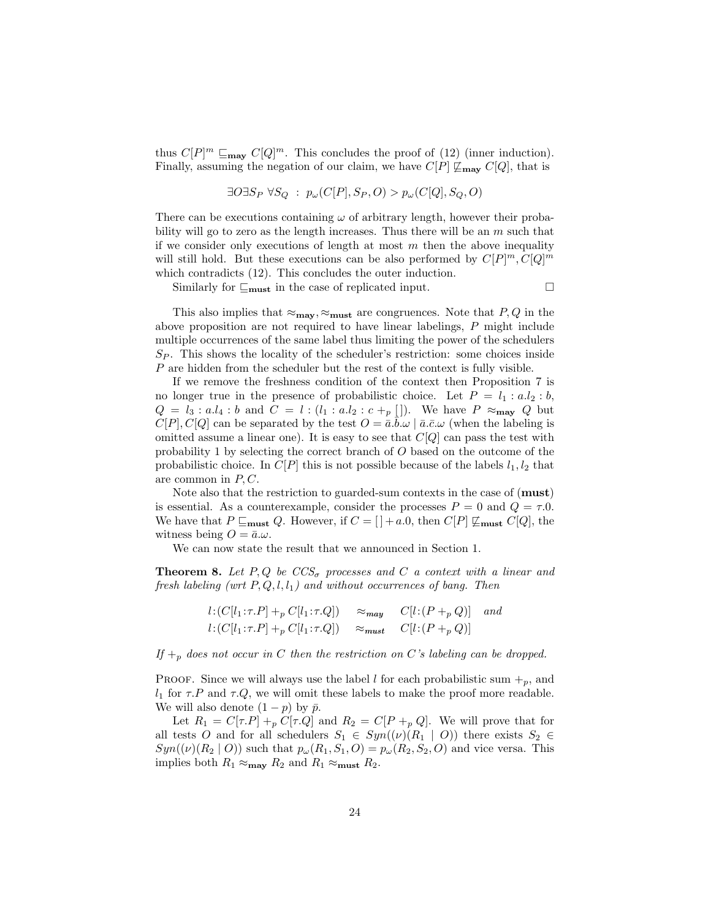thus  $C[P]^m \sqsubseteq_{\text{may}} C[Q]^m$ . This concludes the proof of (12) (inner induction). Finally, assuming the negation of our claim, we have  $C[P] \not\subseteq_{\text{max}} C[Q]$ , that is

$$
\exists O \exists S_P \ \forall S_Q \ : \ p_\omega(C[P], S_P, O) > p_\omega(C[Q], S_Q, O)
$$

There can be executions containing  $\omega$  of arbitrary length, however their probability will go to zero as the length increases. Thus there will be an  $m$  such that if we consider only executions of length at most  $m$  then the above inequality will still hold. But these executions can be also performed by  $C[P]^m, C[Q]^m$ which contradicts (12). This concludes the outer induction.

Similarly for  $\sqsubseteq_{\text{must}}$  in the case of replicated input.

This also implies that  $\approx_{\text{may}}, \approx_{\text{must}}$  are congruences. Note that  $P, Q$  in the above proposition are not required to have linear labelings, P might include multiple occurrences of the same label thus limiting the power of the schedulers  $S_P$ . This shows the locality of the scheduler's restriction: some choices inside P are hidden from the scheduler but the rest of the context is fully visible.

If we remove the freshness condition of the context then Proposition 7 is no longer true in the presence of probabilistic choice. Let  $P = l_1 : a.l_2 : b$ ,  $Q = l_3 : a.l_4 : b$  and  $C = l : (l_1 : a.l_2 : c +_p [])$ . We have  $P \approx_{\text{may}} Q$  but  $C[P], C[Q]$  can be separated by the test  $O = \overline{a} \cdot \overline{b} \cdot \omega \mid \overline{a} \cdot \overline{c} \cdot \omega$  (when the labeling is omitted assume a linear one). It is easy to see that  $C[Q]$  can pass the test with probability 1 by selecting the correct branch of O based on the outcome of the probabilistic choice. In  $C[P]$  this is not possible because of the labels  $l_1, l_2$  that are common in  $P, C$ .

Note also that the restriction to guarded-sum contexts in the case of (**must**) is essential. As a counterexample, consider the processes  $P = 0$  and  $Q = \tau.0$ . We have that  $P \sqsubseteq_{\text{must}} Q$ . However, if  $C = [ ] +a.0, \text{ then } C[P] \not \sqsubseteq_{\text{must}} C[Q], \text{ the}$ witness being  $O = \bar{a}.\omega$ .

We can now state the result that we announced in Section 1.

**Theorem 8.** Let P, Q be  $CCS_{\sigma}$  processes and C a context with a linear and fresh labeling (wrt  $P, Q, l, l_1$ ) and without occurrences of bang. Then

$$
l: (C[l_1:\tau.P] +_p C[l_1:\tau.Q]) \approx_{\text{may}} C[l: (P +_p Q)] \quad \text{and}
$$
  

$$
l: (C[l_1:\tau.P] +_p C[l_1:\tau.Q]) \approx_{\text{must}} C[l: (P +_p Q)]
$$

If  $+_p$  does not occur in C then the restriction on C's labeling can be dropped.

**PROOF.** Since we will always use the label l for each probabilistic sum  $+_p$ , and  $l_1$  for  $\tau.P$  and  $\tau.Q$ , we will omit these labels to make the proof more readable. We will also denote  $(1 - p)$  by  $\bar{p}$ .

Let  $R_1 = C[\tau.P] +_p C[\tau.Q]$  and  $R_2 = C[P +_p Q]$ . We will prove that for all tests O and for all schedulers  $S_1 \in Sym((\nu)(R_1 \mid O))$  there exists  $S_2 \in$  $Syn((\nu)(R_2 \mid O))$  such that  $p_\omega(R_1, S_1, O) = p_\omega(R_2, S_2, O)$  and vice versa. This implies both  $R_1 \approx_{\text{max}} R_2$  and  $R_1 \approx_{\text{must}} R_2$ .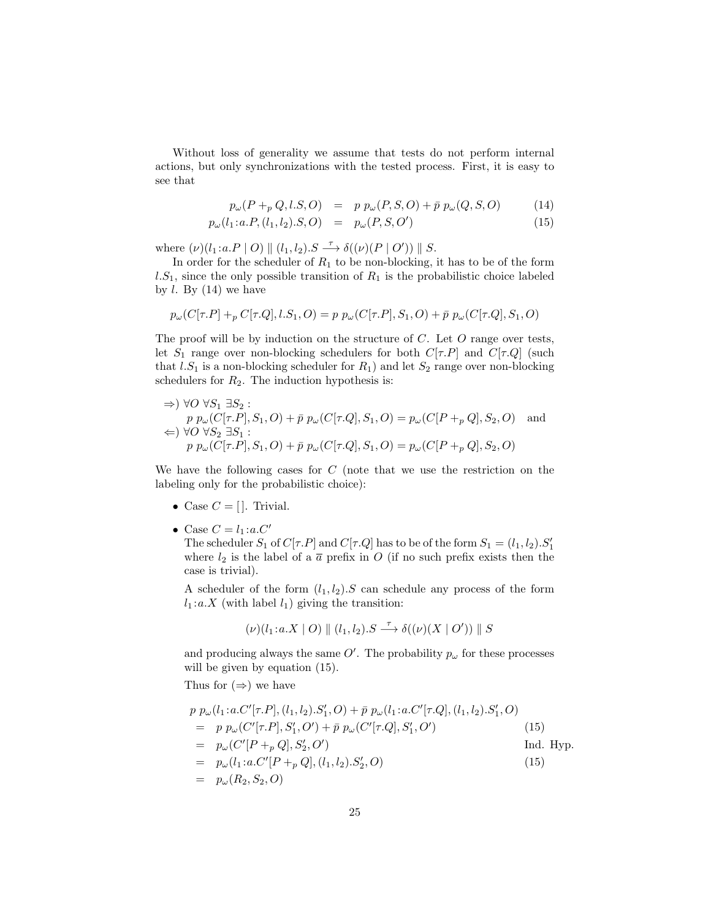Without loss of generality we assume that tests do not perform internal actions, but only synchronizations with the tested process. First, it is easy to see that

$$
p_{\omega}(P +_{p} Q, l.S, O) = p p_{\omega}(P, S, O) + \bar{p} p_{\omega}(Q, S, O) \tag{14}
$$

$$
p_{\omega}(l_1: a.P, (l_1, l_2). S, O) = p_{\omega}(P, S, O')
$$
\n(15)

where  $(\nu)(l_1 : a.P \mid O) \parallel (l_1, l_2) \cdot S \xrightarrow{\tau} \delta((\nu)(P \mid O')) \parallel S.$ 

In order for the scheduler of  $R_1$  to be non-blocking, it has to be of the form  $l.S_1$ , since the only possible transition of  $R_1$  is the probabilistic choice labeled by  $l$ . By  $(14)$  we have

$$
p_{\omega}(C[\tau.P] +_p C[\tau.Q], l.S_1, O) = p p_{\omega}(C[\tau.P], S_1, O) + \bar{p} p_{\omega}(C[\tau.Q], S_1, O)
$$

The proof will be by induction on the structure of  $C$ . Let  $O$  range over tests, let  $S_1$  range over non-blocking schedulers for both  $C[\tau, P]$  and  $C[\tau, Q]$  (such that  $l.S_1$  is a non-blocking scheduler for  $R_1$ ) and let  $S_2$  range over non-blocking schedulers for  $R_2$ . The induction hypothesis is:

$$
\Rightarrow) \forall O \forall S_1 \exists S_2 :
$$
  
\n
$$
p p_{\omega}(C[\tau.P], S_1, O) + \bar{p} p_{\omega}(C[\tau.Q], S_1, O) = p_{\omega}(C[P +_p Q], S_2, O) \text{ and}
$$
  
\n
$$
\Leftrightarrow) \forall O \forall S_2 \exists S_1 :
$$
  
\n
$$
p p_{\omega}(C[\tau.P], S_1, O) + \bar{p} p_{\omega}(C[\tau.Q], S_1, O) = p_{\omega}(C[P +_p Q], S_2, O)
$$

We have the following cases for  $C$  (note that we use the restriction on the labeling only for the probabilistic choice):

- Case  $C = []$ . Trivial.
- Case  $C = l_1 : a.C'$

The scheduler  $S_1$  of  $C[\tau.P]$  and  $C[\tau.Q]$  has to be of the form  $S_1 = (l_1, l_2) . S'_1$ where  $l_2$  is the label of a  $\bar{a}$  prefix in O (if no such prefix exists then the case is trivial).

A scheduler of the form  $(l_1, l_2)$ . S can schedule any process of the form  $l_1 : a.X$  (with label  $l_1$ ) giving the transition:

$$
(\nu)(l_1:a.X \mid O) \parallel (l_1,l_2).S \xrightarrow{\tau} \delta((\nu)(X \mid O')) \parallel S
$$

and producing always the same  $O'$ . The probability  $p_{\omega}$  for these processes will be given by equation  $(15)$ .

Thus for  $(\Rightarrow)$  we have

$$
p p_{\omega}(l_1: a.C'[\tau.P], (l_1, l_2).S'_1, O) + \bar{p} p_{\omega}(l_1: a.C'[\tau.Q], (l_1, l_2).S'_1, O)
$$
  
\n
$$
= p p_{\omega}(C'[\tau.P], S'_1, O') + \bar{p} p_{\omega}(C'[\tau.Q], S'_1, O')
$$
(15)  
\n
$$
= p_{\omega}(C'[P +_p Q], S'_2, O')
$$
Ind. Hyp.  
\n
$$
= p_{\omega}(l_1: a.C'[P +_p Q], (l_1, l_2).S'_2, O)
$$
(15)  
\n
$$
= p_{\omega}(R_2, S_2, O)
$$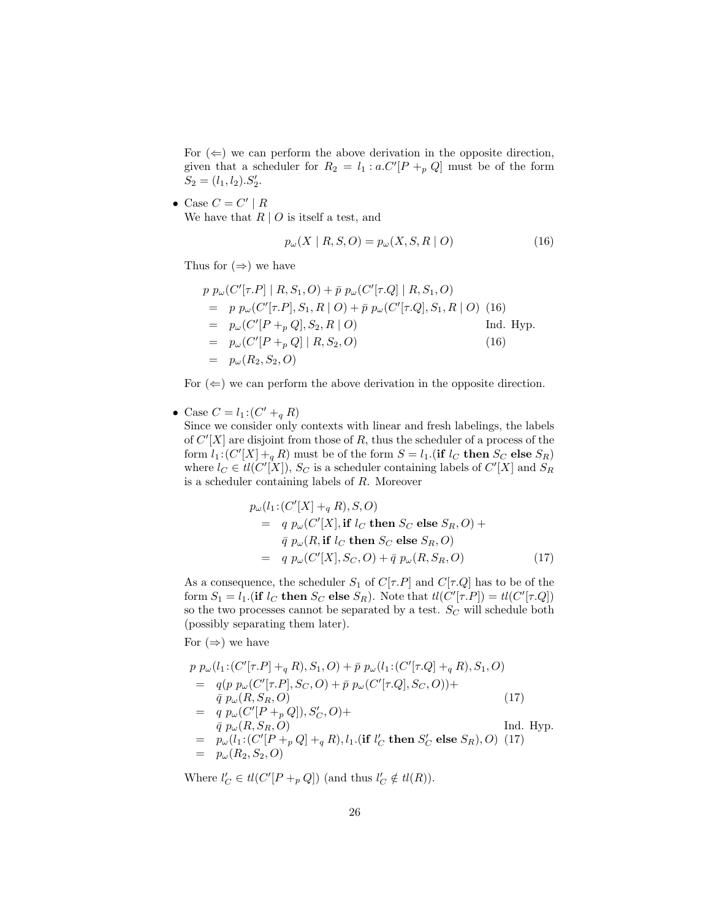For  $(\Leftarrow)$  we can perform the above derivation in the opposite direction, given that a scheduler for  $R_2 = l_1 : a.C'[P +_p Q]$  must be of the form  $S_2 = (l_1, l_2).S'_2.$ 

• Case  $C = C' | R$ We have that  $R \mid O$  is itself a test, and

$$
p_{\omega}(X \mid R, S, O) = p_{\omega}(X, S, R \mid O)
$$
\n<sup>(16)</sup>

Thus for  $(\Rightarrow)$  we have

$$
p p_{\omega} (C'[\tau.P] | R, S_1, O) + \bar{p} p_{\omega} (C'[\tau.Q] | R, S_1, O)
$$
  
=  $p p_{\omega} (C'[\tau.P], S_1, R | O) + \bar{p} p_{\omega} (C'[\tau.Q], S_1, R | O)$  (16)  
=  $p_{\omega} (C'[P +_p Q], S_2, R | O)$  Ind. Hyp.  
=  $p_{\omega} (C'[P +_p Q] | R, S_2, O)$  (16)  
=  $p_{\omega} (R_2, S_2, O)$ 

For  $(\Leftarrow)$  we can perform the above derivation in the opposite direction.

• Case  $C = l_1 : (C' +_q R)$ 

Since we consider only contexts with linear and fresh labelings, the labels of  $C'[X]$  are disjoint from those of R, thus the scheduler of a process of the form  $l_1$ : $(C'[X] +_q R)$  must be of the form  $S = l_1$ . (if  $l_C$  then  $S_C$  else  $S_R$ ) where  $l_C \in tl(C'[X]), S_C$  is a scheduler containing labels of  $C'[X]$  and  $S_R$ is a scheduler containing labels of R. Moreover

$$
p_{\omega}(l_1:(C'[X] +_q R), S, O)
$$
  
=  $q p_{\omega}(C'[X], \text{ if } l_C \text{ then } S_C \text{ else } S_R, O) +$   
 $\bar{q} p_{\omega}(R, \text{ if } l_C \text{ then } S_C \text{ else } S_R, O)$   
=  $q p_{\omega}(C'[X], S_C, O) + \bar{q} p_{\omega}(R, S_R, O)$  (17)

As a consequence, the scheduler  $S_1$  of  $C[\tau.P]$  and  $C[\tau.Q]$  has to be of the form  $S_1 = l_1$  (if  $l_C$  then  $S_C$  else  $S_R$ ). Note that  $tl(C'[\tau.P]) = tl(C'[\tau.Q])$ so the two processes cannot be separated by a test.  $S_C$  will schedule both (possibly separating them later).

For  $(\Rightarrow)$  we have

$$
p p_{\omega}(l_1:(C'[\tau.P] +_q R), S_1, O) + \bar{p} p_{\omega}(l_1:(C'[\tau.Q] +_q R), S_1, O)
$$
  
\n
$$
= q(p p_{\omega}(C'[\tau.P], S_C, O) + \bar{p} p_{\omega}(C'[\tau.Q], S_C, O)) +
$$
  
\n
$$
\bar{q} p_{\omega}(R, S_R, O)
$$
  
\n
$$
= q p_{\omega}(C'[P +_p Q]), S'_C, O) +
$$
  
\n
$$
\bar{q} p_{\omega}(R, S_R, O)
$$
  
\n
$$
= p_{\omega}(l_1:(C'[P +_p Q] +_q R), l_1.(if l'_C then S'_C else S_R), O) (17)
$$
  
\n
$$
= p_{\omega}(R_2, S_2, O)
$$
  
\n
$$
p_{\omega}(R_2, S_2, O)
$$
  
\n
$$
= p_{\omega}(R_2, S_2, O)
$$
  
\n
$$
p_{\omega}(R_2, S_2, O)
$$
  
\n
$$
= p_{\omega}(R_2, S_2, O)
$$
  
\n
$$
= p_{\omega}(R_2, S_2, O)
$$
  
\n
$$
= p_{\omega}(R_2, S_2, O)
$$
  
\n
$$
= p_{\omega}(R_2, S_2, O)
$$
  
\n
$$
= p_{\omega}(R_2, S_2, O)
$$
  
\n
$$
= p_{\omega}(R_2, S_2, O)
$$
  
\n
$$
= p_{\omega}(R_2, S_2, O)
$$
  
\n
$$
= p_{\omega}(R_2, S_2, O)
$$
  
\n
$$
= p_{\omega}(R_2, S_2, O)
$$
  
\n
$$
= p_{\omega}(R_2, S_2, O)
$$
  
\n
$$
= p_{\omega}(R_2, S_2, O)
$$
  
\n
$$
= p_{\omega}(R_2, S_2, O)
$$
  
\n
$$
= p_{\omega}(R_2, S_2, O)
$$
  
\n
$$
= p_{\omega}(R_2, S'_C, O)
$$
  
\n
$$
= p_{\omega}(R
$$

Where  $l'_C \in tl(C'[P +_p Q])$  (and thus  $l'_C \notin tl(R)$ ).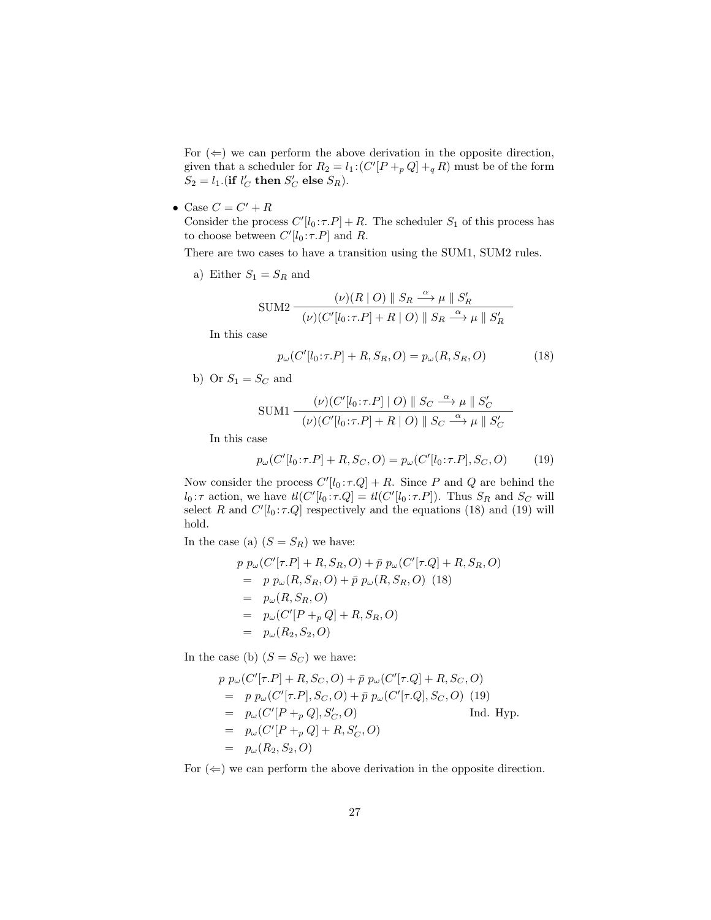For  $(\Leftarrow)$  we can perform the above derivation in the opposite direction, given that a scheduler for  $R_2 = l_1 \cdot (C'[P +_p Q] +_q R)$  must be of the form  $S_2 = l_1$ .(if  $l'_C$  then  $S'_C$  else  $S_R$ ).

• Case  $C = C' + R$ 

Consider the process  $C'[l_0 : \tau.P] + R$ . The scheduler  $S_1$  of this process has to choose between  $C'[l_0:\tau.P]$  and R.

There are two cases to have a transition using the SUM1, SUM2 rules.

a) Either  $S_1 = S_R$  and

$$
\text{SUM2} \frac{(\nu)(R \mid O) \parallel S_R \stackrel{\alpha}{\longrightarrow} \mu \parallel S'_R}{(\nu)(C'[l_0: \tau.P] + R \mid O) \parallel S_R \stackrel{\alpha}{\longrightarrow} \mu \parallel S'_R}
$$

In this case

$$
p_{\omega}(C'[l_0:\tau.P] + R, S_R, O) = p_{\omega}(R, S_R, O)
$$
\n(18)

b) Or  $S_1 = S_C$  and

$$
\text{SUM1} \frac{(\nu)(C'[l_0:\tau.P] \mid O) \parallel S_C \stackrel{\alpha}{\longrightarrow} \mu \parallel S'_C}{(\nu)(C'[l_0:\tau.P] + R \mid O) \parallel S_C \stackrel{\alpha}{\longrightarrow} \mu \parallel S'_C}
$$

In this case

$$
p_{\omega}(C'[l_0:\tau.P] + R, S_C, O) = p_{\omega}(C'[l_0:\tau.P], S_C, O)
$$
(19)

Now consider the process  $C'[l_0 : \tau.Q] + R$ . Since P and Q are behind the  $l_0: \tau$  action, we have  $tl(C'[l_0:\tau.Q] = tl(C'[l_0:\tau.P])$ . Thus  $S_R$  and  $S_C$  will select R and  $C'[l_0 : \tau.Q]$  respectively and the equations (18) and (19) will hold.

In the case (a)  $(S = S_R)$  we have:

$$
p p_{\omega} (C'[\tau.P] + R, S_R, O) + \bar{p} p_{\omega} (C'[\tau.Q] + R, S_R, O)
$$
  
=  $p p_{\omega} (R, S_R, O) + \bar{p} p_{\omega} (R, S_R, O)$  (18)  
=  $p_{\omega} (R, S_R, O)$   
=  $p_{\omega} (C'[P +_p Q] + R, S_R, O)$   
=  $p_{\omega} (R_2, S_2, O)$ 

In the case (b)  $(S = S_C)$  we have:

$$
p p_{\omega} (C'[\tau.P] + R, S_C, O) + \bar{p} p_{\omega} (C'[\tau.Q] + R, S_C, O)
$$
  
=  $p p_{\omega} (C'[\tau.P], S_C, O) + \bar{p} p_{\omega} (C'[\tau.Q], S_C, O)$  (19)  
=  $p_{\omega} (C'[P +_p Q], S'_C, O)$  Ind. Hyp.  
=  $p_{\omega} (C'[P +_p Q] + R, S'_C, O)$   
=  $p_{\omega} (R_2, S_2, O)$ 

For  $(\Leftarrow)$  we can perform the above derivation in the opposite direction.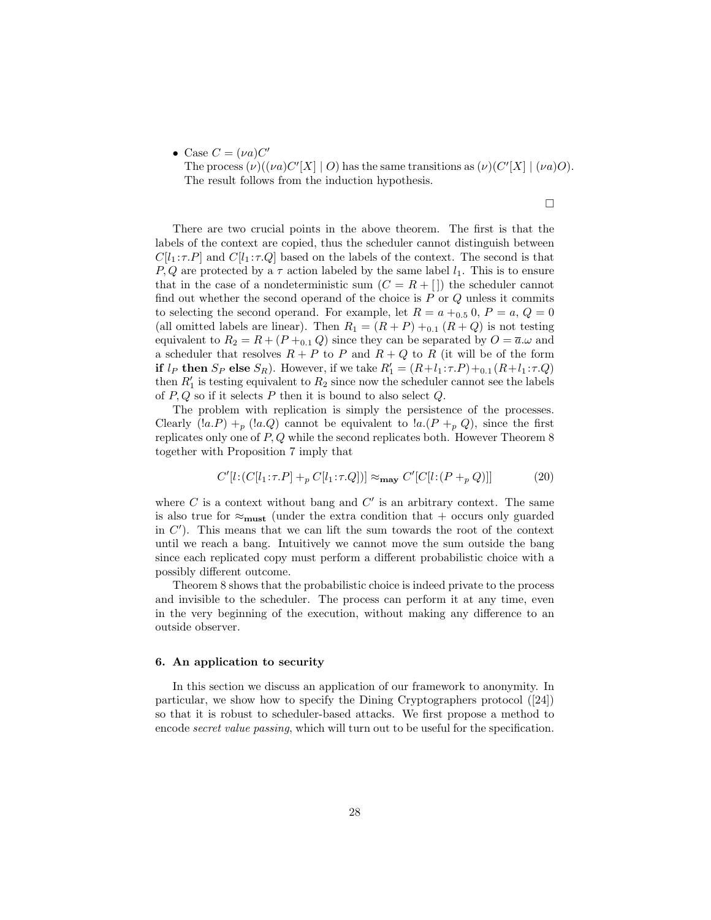• Case  $C = (\nu a)C'$ 

The process  $(\nu)((\nu a)C'[X] \mid O)$  has the same transitions as  $(\nu)(C'[X] \mid (\nu a)O)$ . The result follows from the induction hypothesis.

 $\Box$ 

There are two crucial points in the above theorem. The first is that the labels of the context are copied, thus the scheduler cannot distinguish between  $C[l_1 : \tau.P]$  and  $C[l_1 : \tau.Q]$  based on the labels of the context. The second is that P, Q are protected by a  $\tau$  action labeled by the same label  $l_1$ . This is to ensure that in the case of a nondeterministic sum  $(C = R + \lceil \cdot \rceil)$  the scheduler cannot find out whether the second operand of the choice is  $P$  or  $Q$  unless it commits to selecting the second operand. For example, let  $R = a +_{0.5} 0$ ,  $P = a$ ,  $Q = 0$ (all omitted labels are linear). Then  $R_1 = (R + P) +_{0.1} (R + Q)$  is not testing equivalent to  $R_2 = R + (P + 0.1 Q)$  since they can be separated by  $Q = \overline{a}.\omega$  and a scheduler that resolves  $R + P$  to P and  $R + Q$  to R (it will be of the form if  $l_P$  then  $S_P$  else  $S_R$ ). However, if we take  $R'_1 = (R + l_1 : \tau.P) + 0.1 (R + l_1 : \tau.Q)$ then  $R'_1$  is testing equivalent to  $R_2$  since now the scheduler cannot see the labels of  $P, Q$  so if it selects  $P$  then it is bound to also select  $Q$ .

The problem with replication is simply the persistence of the processes. Clearly  $(la.P) + p(la.Q)$  cannot be equivalent to  $la(P + p Q)$ , since the first replicates only one of  $P, Q$  while the second replicates both. However Theorem 8 together with Proposition 7 imply that

$$
C'[l:(C[l_1:\tau.P] +_p C[l_1:\tau.Q])] \approx_{\text{may}} C'[C[l:(P +_p Q)]]
$$
 (20)

where  $C$  is a context without bang and  $C'$  is an arbitrary context. The same is also true for  $\approx_{\text{must}}$  (under the extra condition that + occurs only guarded in  $C'$ ). This means that we can lift the sum towards the root of the context until we reach a bang. Intuitively we cannot move the sum outside the bang since each replicated copy must perform a different probabilistic choice with a possibly different outcome.

Theorem 8 shows that the probabilistic choice is indeed private to the process and invisible to the scheduler. The process can perform it at any time, even in the very beginning of the execution, without making any difference to an outside observer.

#### 6. An application to security

In this section we discuss an application of our framework to anonymity. In particular, we show how to specify the Dining Cryptographers protocol ([24]) so that it is robust to scheduler-based attacks. We first propose a method to encode secret value passing, which will turn out to be useful for the specification.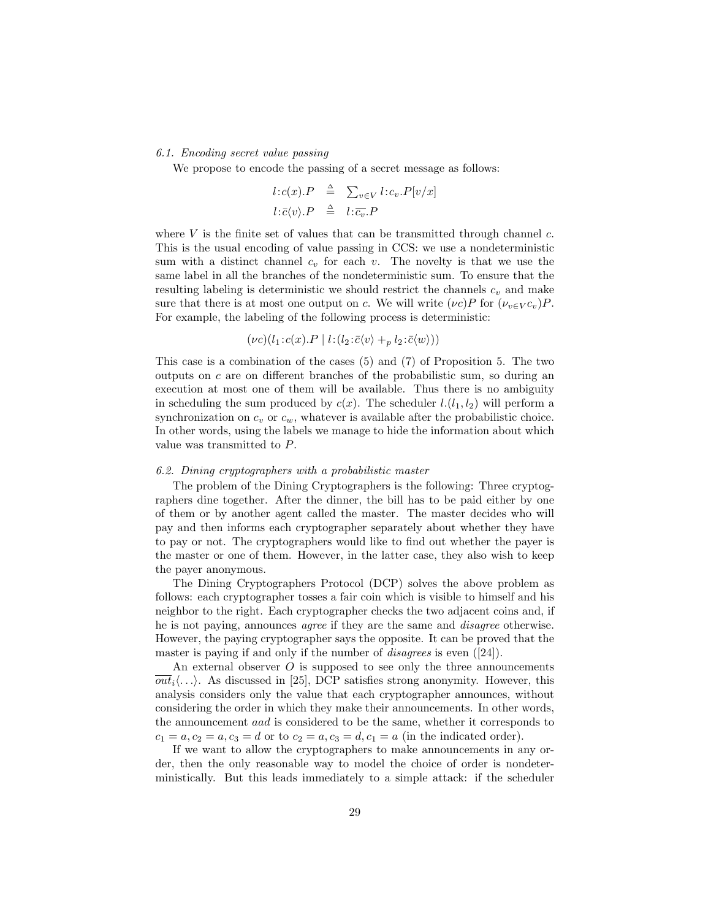#### 6.1. Encoding secret value passing

We propose to encode the passing of a secret message as follows:

$$
l:c(x).P \triangleq \sum_{v \in V} l:c_v.P[v/x]
$$
  

$$
l:\bar{c}\langle v \rangle.P \triangleq l:\bar{c_v}.P
$$

where  $V$  is the finite set of values that can be transmitted through channel  $c$ . This is the usual encoding of value passing in CCS: we use a nondeterministic sum with a distinct channel  $c_v$  for each v. The novelty is that we use the same label in all the branches of the nondeterministic sum. To ensure that the resulting labeling is deterministic we should restrict the channels  $c_v$  and make sure that there is at most one output on c. We will write  $(\nu c)P$  for  $(\nu_{v\in V}c_v)P$ . For example, the labeling of the following process is deterministic:

$$
(\nu c)(l_1:c(x).P \mid l:(l_2:\bar{c}\langle v\rangle +_p l_2:\bar{c}\langle w\rangle))
$$

This case is a combination of the cases (5) and (7) of Proposition 5. The two outputs on c are on different branches of the probabilistic sum, so during an execution at most one of them will be available. Thus there is no ambiguity in scheduling the sum produced by  $c(x)$ . The scheduler  $l(l_1, l_2)$  will perform a synchronization on  $c_v$  or  $c_w$ , whatever is available after the probabilistic choice. In other words, using the labels we manage to hide the information about which value was transmitted to P.

#### 6.2. Dining cryptographers with a probabilistic master

The problem of the Dining Cryptographers is the following: Three cryptographers dine together. After the dinner, the bill has to be paid either by one of them or by another agent called the master. The master decides who will pay and then informs each cryptographer separately about whether they have to pay or not. The cryptographers would like to find out whether the payer is the master or one of them. However, in the latter case, they also wish to keep the payer anonymous.

The Dining Cryptographers Protocol (DCP) solves the above problem as follows: each cryptographer tosses a fair coin which is visible to himself and his neighbor to the right. Each cryptographer checks the two adjacent coins and, if he is not paying, announces agree if they are the same and disagree otherwise. However, the paying cryptographer says the opposite. It can be proved that the master is paying if and only if the number of *disagrees* is even ([24]).

An external observer  $O$  is supposed to see only the three announcements  $\overline{out}_i\langle\ldots\rangle$ . As discussed in [25], DCP satisfies strong anonymity. However, this analysis considers only the value that each cryptographer announces, without considering the order in which they make their announcements. In other words, the announcement aad is considered to be the same, whether it corresponds to  $c_1 = a, c_2 = a, c_3 = d$  or to  $c_2 = a, c_3 = d, c_1 = a$  (in the indicated order).

If we want to allow the cryptographers to make announcements in any order, then the only reasonable way to model the choice of order is nondeterministically. But this leads immediately to a simple attack: if the scheduler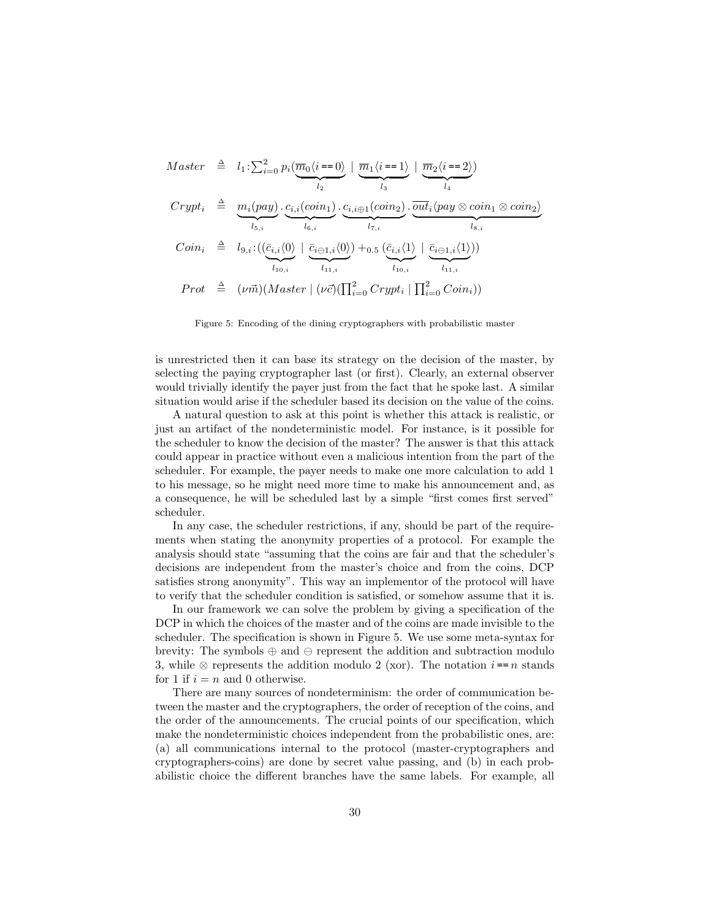$$
Master \quad \triangleq \quad l_1: \sum_{i=0}^2 p_i \left( \underbrace{\overline{m}_0 \langle i=0 \rangle}_{l_2} \mid \underbrace{\overline{m}_1 \langle i=1 \rangle}_{l_3} \mid \underbrace{\overline{m}_2 \langle i=2 \rangle}_{l_4} \right)
$$
\n
$$
Crypt_i \quad \triangleq \quad \underbrace{m_i (pay)}_{l_{5,i}} \cdot \underbrace{c_{i,i} (coin_1)}_{l_{6,i}} \cdot \underbrace{c_{i,i \oplus 1} (coin_2)}_{l_{7,i}} \cdot \underbrace{\overline{out}_i \langle pay \otimes coin_1 \otimes coin_2}_{l_{8,i}}
$$
\n
$$
Coin_i \quad \triangleq \quad l_{9,i}: ((\underbrace{\overline{c}_{i,i} \langle 0 \rangle}_{l_{10,i}} \mid \underbrace{\overline{c}_{i \ominus 1,i} \langle 0 \rangle}_{l_{11,i}}) + 0.5 \underbrace{(\overline{c}_{i,i} \langle 1 \rangle \mid \overline{c}_{i \ominus 1,i} \langle 1 \rangle)}_{l_{10,i}})
$$
\n
$$
Prot \quad \triangleq \quad (\nu \vec{m}) (Master \mid (\nu \vec{c}) (\prod_{i=0}^2 Crypt_i \mid \prod_{i=0}^2Coin_i))
$$

Figure 5: Encoding of the dining cryptographers with probabilistic master

is unrestricted then it can base its strategy on the decision of the master, by selecting the paying cryptographer last (or first). Clearly, an external observer would trivially identify the payer just from the fact that he spoke last. A similar situation would arise if the scheduler based its decision on the value of the coins.

A natural question to ask at this point is whether this attack is realistic, or just an artifact of the nondeterministic model. For instance, is it possible for the scheduler to know the decision of the master? The answer is that this attack could appear in practice without even a malicious intention from the part of the scheduler. For example, the payer needs to make one more calculation to add 1 to his message, so he might need more time to make his announcement and, as a consequence, he will be scheduled last by a simple "first comes first served" scheduler.

In any case, the scheduler restrictions, if any, should be part of the requirements when stating the anonymity properties of a protocol. For example the analysis should state "assuming that the coins are fair and that the scheduler's decisions are independent from the master's choice and from the coins, DCP satisfies strong anonymity". This way an implementor of the protocol will have to verify that the scheduler condition is satisfied, or somehow assume that it is.

In our framework we can solve the problem by giving a specification of the DCP in which the choices of the master and of the coins are made invisible to the scheduler. The specification is shown in Figure 5. We use some meta-syntax for brevity: The symbols  $\oplus$  and  $\ominus$  represent the addition and subtraction modulo 3, while ⊗ represents the addition modulo 2 (xor). The notation  $i == n$  stands for 1 if  $i = n$  and 0 otherwise.

There are many sources of nondeterminism: the order of communication between the master and the cryptographers, the order of reception of the coins, and the order of the announcements. The crucial points of our specification, which make the nondeterministic choices independent from the probabilistic ones, are: (a) all communications internal to the protocol (master-cryptographers and cryptographers-coins) are done by secret value passing, and (b) in each probabilistic choice the different branches have the same labels. For example, all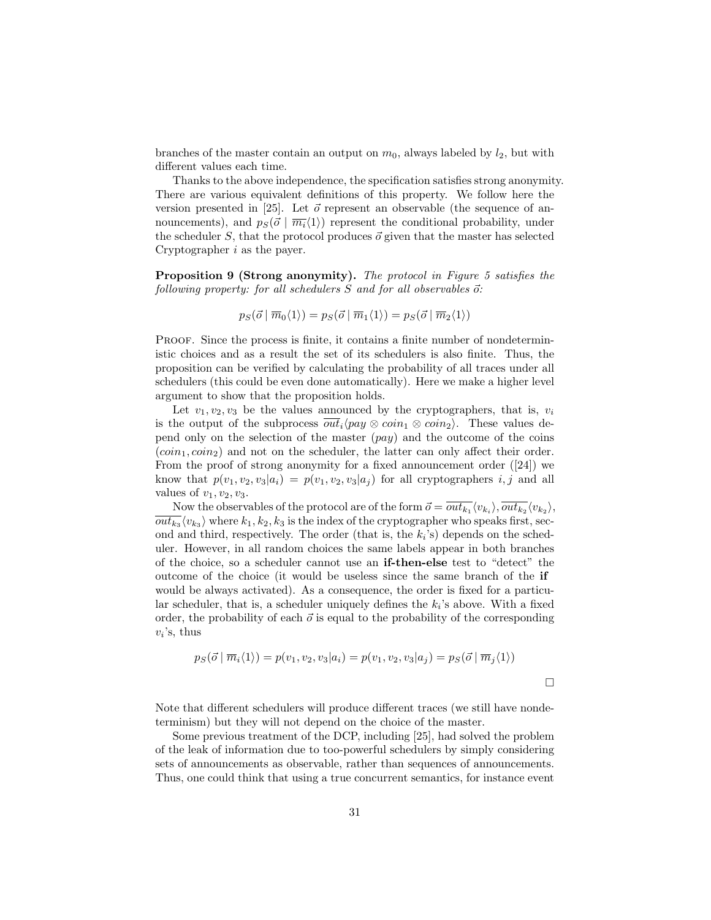branches of the master contain an output on  $m_0$ , always labeled by  $l_2$ , but with different values each time.

Thanks to the above independence, the specification satisfies strong anonymity. There are various equivalent definitions of this property. We follow here the version presented in [25]. Let  $\vec{\sigma}$  represent an observable (the sequence of announcements), and  $p_S(\vec{\sigma} | \overline{m_i}\langle 1 \rangle)$  represent the conditional probability, under the scheduler S, that the protocol produces  $\vec{o}$  given that the master has selected Cryptographer i as the payer.

Proposition 9 (Strong anonymity). The protocol in Figure 5 satisfies the following property: for all schedulers  $S$  and for all observables  $\vec{o}$ :

$$
p_S(\vec{o} \mid \overline{m}_0\langle 1 \rangle) = p_S(\vec{o} \mid \overline{m}_1\langle 1 \rangle) = p_S(\vec{o} \mid \overline{m}_2\langle 1 \rangle)
$$

Proof. Since the process is finite, it contains a finite number of nondeterministic choices and as a result the set of its schedulers is also finite. Thus, the proposition can be verified by calculating the probability of all traces under all schedulers (this could be even done automatically). Here we make a higher level argument to show that the proposition holds.

Let  $v_1, v_2, v_3$  be the values announced by the cryptographers, that is,  $v_i$ is the output of the subprocess  $\overline{out}_i$  $\langle pay \otimes coin_1 \otimes coin_2 \rangle$ . These values depend only on the selection of the master  $(pay)$  and the outcome of the coins  $(coin_1, coin_2)$  and not on the scheduler, the latter can only affect their order. From the proof of strong anonymity for a fixed announcement order ([24]) we know that  $p(v_1, v_2, v_3|a_i) = p(v_1, v_2, v_3|a_i)$  for all cryptographers i, j and all values of  $v_1, v_2, v_3$ .

Now the observables of the protocol are of the form  $\vec{o} = \overline{out_{k_1}} \langle v_{k_1} \rangle$ ,  $\overline{out_{k_2}} \langle v_{k_2} \rangle$ ,  $\overline{out_{k_3}}\langle v_{k_3}\rangle$  where  $k_1, k_2, k_3$  is the index of the cryptographer who speaks first, second and third, respectively. The order (that is, the  $k_i$ 's) depends on the scheduler. However, in all random choices the same labels appear in both branches of the choice, so a scheduler cannot use an if-then-else test to "detect" the outcome of the choice (it would be useless since the same branch of the if would be always activated). As a consequence, the order is fixed for a particular scheduler, that is, a scheduler uniquely defines the  $k_i$ 's above. With a fixed order, the probability of each  $\vec{o}$  is equal to the probability of the corresponding  $v_i$ 's, thus

$$
p_S(\vec{o} \mid \overline{m}_i\langle 1 \rangle) = p(v_1, v_2, v_3 | a_i) = p(v_1, v_2, v_3 | a_j) = p_S(\vec{o} \mid \overline{m}_j\langle 1 \rangle)
$$

Note that different schedulers will produce different traces (we still have nondeterminism) but they will not depend on the choice of the master.

Some previous treatment of the DCP, including [25], had solved the problem of the leak of information due to too-powerful schedulers by simply considering sets of announcements as observable, rather than sequences of announcements. Thus, one could think that using a true concurrent semantics, for instance event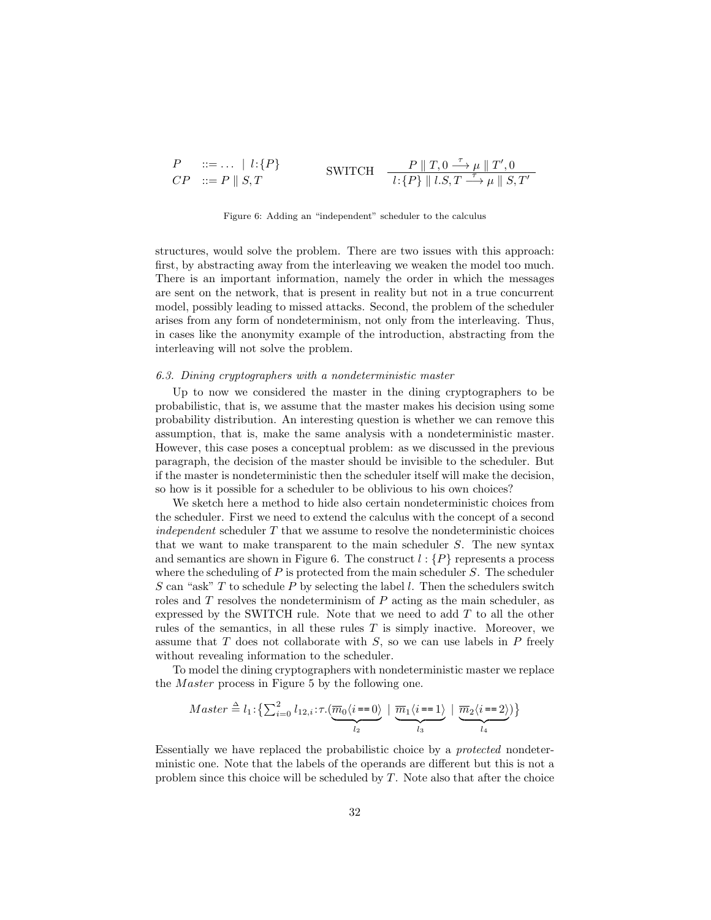$$
\begin{array}{lll}\nP & ::= \ldots & | \ l\colon\!\{P\} & & \\
CP & ::= P \parallel S, T & & \\
\end{array}\n\quad \text{SWITCH} \quad\n\begin{array}{lll}\nP \parallel T, 0 \stackrel{\tau}{\longrightarrow} \mu \parallel T', 0 \\
\hline\nl\colon\!\{P\} \parallel l.S, T \stackrel{\tau}{\longrightarrow} \mu \parallel S, T'\n\end{array}
$$

Figure 6: Adding an "independent" scheduler to the calculus

structures, would solve the problem. There are two issues with this approach: first, by abstracting away from the interleaving we weaken the model too much. There is an important information, namely the order in which the messages are sent on the network, that is present in reality but not in a true concurrent model, possibly leading to missed attacks. Second, the problem of the scheduler arises from any form of nondeterminism, not only from the interleaving. Thus, in cases like the anonymity example of the introduction, abstracting from the interleaving will not solve the problem.

#### 6.3. Dining cryptographers with a nondeterministic master

Up to now we considered the master in the dining cryptographers to be probabilistic, that is, we assume that the master makes his decision using some probability distribution. An interesting question is whether we can remove this assumption, that is, make the same analysis with a nondeterministic master. However, this case poses a conceptual problem: as we discussed in the previous paragraph, the decision of the master should be invisible to the scheduler. But if the master is nondeterministic then the scheduler itself will make the decision, so how is it possible for a scheduler to be oblivious to his own choices?

We sketch here a method to hide also certain nondeterministic choices from the scheduler. First we need to extend the calculus with the concept of a second independent scheduler  $T$  that we assume to resolve the nondeterministic choices that we want to make transparent to the main scheduler S. The new syntax and semantics are shown in Figure 6. The construct  $l : \{P\}$  represents a process where the scheduling of  $P$  is protected from the main scheduler  $S$ . The scheduler  $S$  can "ask"  $T$  to schedule  $P$  by selecting the label  $l$ . Then the schedulers switch roles and  $T$  resolves the nondeterminism of  $P$  acting as the main scheduler, as expressed by the SWITCH rule. Note that we need to add  $T$  to all the other rules of the semantics, in all these rules  $T$  is simply inactive. Moreover, we assume that  $T$  does not collaborate with  $S$ , so we can use labels in  $P$  freely without revealing information to the scheduler.

To model the dining cryptographers with nondeterministic master we replace the *M aster* process in Figure 5 by the following one.

$$
Master \triangleq l_1: \left\{ \sum_{i=0}^{2} l_{12,i} : \tau.(\underbrace{\overline{m}_0 \langle i=0 \rangle}_{l_2} \mid \underbrace{\overline{m}_1 \langle i=1 \rangle}_{l_3} \mid \underbrace{\overline{m}_2 \langle i=2 \rangle}_{l_4}) \right\}
$$

Essentially we have replaced the probabilistic choice by a protected nondeterministic one. Note that the labels of the operands are different but this is not a problem since this choice will be scheduled by  $T$ . Note also that after the choice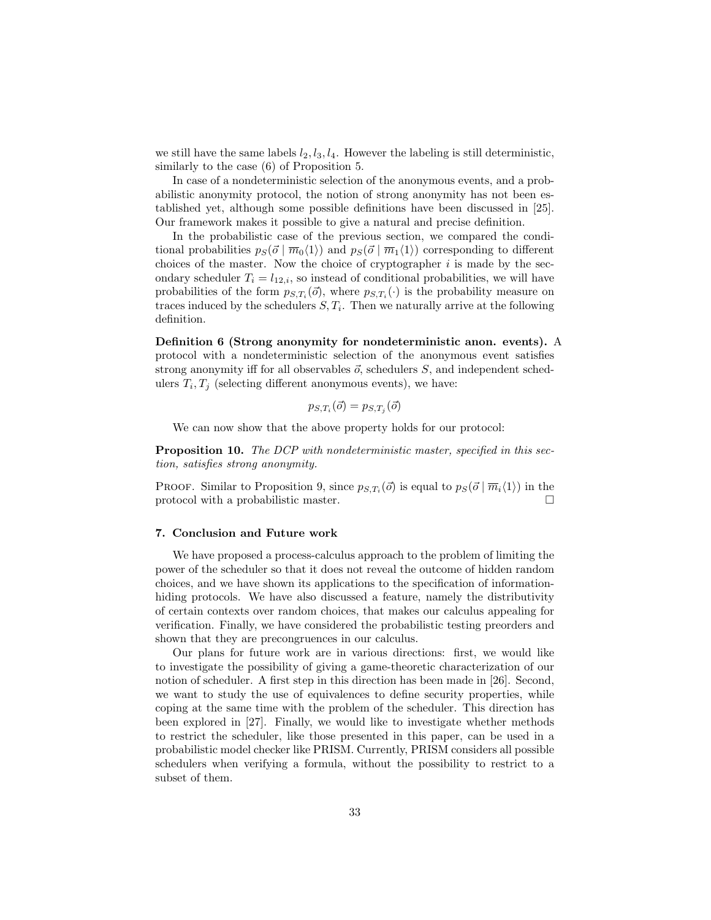we still have the same labels  $l_2$ ,  $l_3$ ,  $l_4$ . However the labeling is still deterministic, similarly to the case (6) of Proposition 5.

In case of a nondeterministic selection of the anonymous events, and a probabilistic anonymity protocol, the notion of strong anonymity has not been established yet, although some possible definitions have been discussed in [25]. Our framework makes it possible to give a natural and precise definition.

In the probabilistic case of the previous section, we compared the conditional probabilities  $p_S(\vec{\sigma} | \overline{m}_0\langle 1 \rangle)$  and  $p_S(\vec{\sigma} | \overline{m}_1\langle 1 \rangle)$  corresponding to different choices of the master. Now the choice of cryptographer  $i$  is made by the secondary scheduler  $T_i = l_{12,i}$ , so instead of conditional probabilities, we will have probabilities of the form  $p_{S,T_i}(\vec{o})$ , where  $p_{S,T_i}(\cdot)$  is the probability measure on traces induced by the schedulers  $S, T_i$ . Then we naturally arrive at the following definition.

Definition 6 (Strong anonymity for nondeterministic anon. events). A protocol with a nondeterministic selection of the anonymous event satisfies strong anonymity iff for all observables  $\vec{o}$ , schedulers S, and independent schedulers  $T_i, T_j$  (selecting different anonymous events), we have:

$$
p_{S,T_i}(\vec{o}) = p_{S,T_j}(\vec{o})
$$

We can now show that the above property holds for our protocol:

**Proposition 10.** The DCP with nondeterministic master, specified in this section, satisfies strong anonymity.

PROOF. Similar to Proposition 9, since  $p_{S,T_i}(\vec{\sigma})$  is equal to  $p_S(\vec{\sigma} | \overline{m}_i \langle 1 \rangle)$  in the protocol with a probabilistic master.

#### 7. Conclusion and Future work

We have proposed a process-calculus approach to the problem of limiting the power of the scheduler so that it does not reveal the outcome of hidden random choices, and we have shown its applications to the specification of informationhiding protocols. We have also discussed a feature, namely the distributivity of certain contexts over random choices, that makes our calculus appealing for verification. Finally, we have considered the probabilistic testing preorders and shown that they are precongruences in our calculus.

Our plans for future work are in various directions: first, we would like to investigate the possibility of giving a game-theoretic characterization of our notion of scheduler. A first step in this direction has been made in [26]. Second, we want to study the use of equivalences to define security properties, while coping at the same time with the problem of the scheduler. This direction has been explored in [27]. Finally, we would like to investigate whether methods to restrict the scheduler, like those presented in this paper, can be used in a probabilistic model checker like PRISM. Currently, PRISM considers all possible schedulers when verifying a formula, without the possibility to restrict to a subset of them.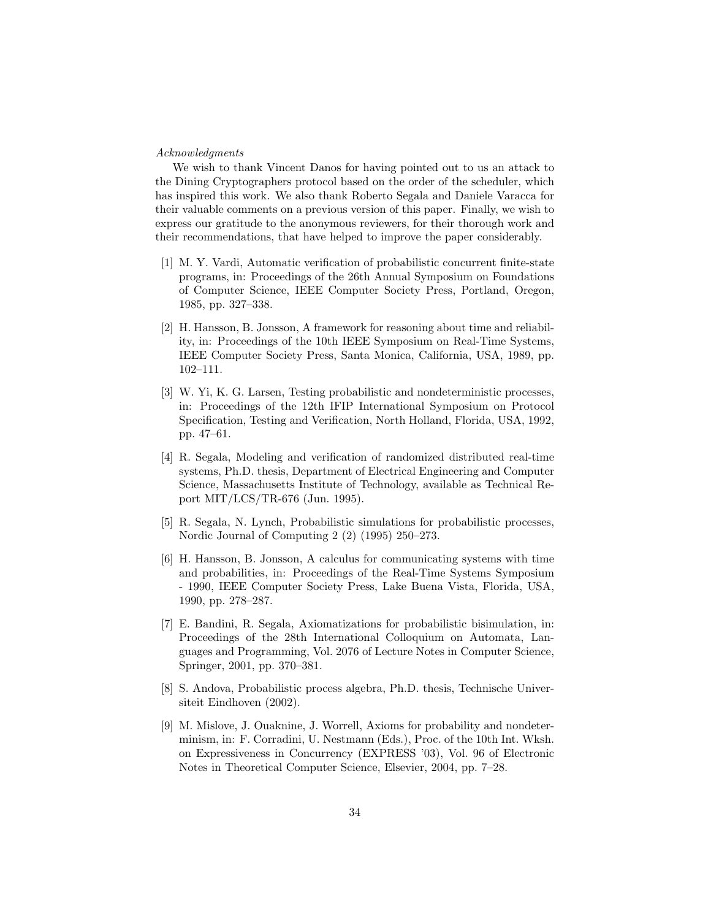#### Acknowledgments

We wish to thank Vincent Danos for having pointed out to us an attack to the Dining Cryptographers protocol based on the order of the scheduler, which has inspired this work. We also thank Roberto Segala and Daniele Varacca for their valuable comments on a previous version of this paper. Finally, we wish to express our gratitude to the anonymous reviewers, for their thorough work and their recommendations, that have helped to improve the paper considerably.

- [1] M. Y. Vardi, Automatic verification of probabilistic concurrent finite-state programs, in: Proceedings of the 26th Annual Symposium on Foundations of Computer Science, IEEE Computer Society Press, Portland, Oregon, 1985, pp. 327–338.
- [2] H. Hansson, B. Jonsson, A framework for reasoning about time and reliability, in: Proceedings of the 10th IEEE Symposium on Real-Time Systems, IEEE Computer Society Press, Santa Monica, California, USA, 1989, pp. 102–111.
- [3] W. Yi, K. G. Larsen, Testing probabilistic and nondeterministic processes, in: Proceedings of the 12th IFIP International Symposium on Protocol Specification, Testing and Verification, North Holland, Florida, USA, 1992, pp. 47–61.
- [4] R. Segala, Modeling and verification of randomized distributed real-time systems, Ph.D. thesis, Department of Electrical Engineering and Computer Science, Massachusetts Institute of Technology, available as Technical Report MIT/LCS/TR-676 (Jun. 1995).
- [5] R. Segala, N. Lynch, Probabilistic simulations for probabilistic processes, Nordic Journal of Computing 2 (2) (1995) 250–273.
- [6] H. Hansson, B. Jonsson, A calculus for communicating systems with time and probabilities, in: Proceedings of the Real-Time Systems Symposium - 1990, IEEE Computer Society Press, Lake Buena Vista, Florida, USA, 1990, pp. 278–287.
- [7] E. Bandini, R. Segala, Axiomatizations for probabilistic bisimulation, in: Proceedings of the 28th International Colloquium on Automata, Languages and Programming, Vol. 2076 of Lecture Notes in Computer Science, Springer, 2001, pp. 370–381.
- [8] S. Andova, Probabilistic process algebra, Ph.D. thesis, Technische Universiteit Eindhoven (2002).
- [9] M. Mislove, J. Ouaknine, J. Worrell, Axioms for probability and nondeterminism, in: F. Corradini, U. Nestmann (Eds.), Proc. of the 10th Int. Wksh. on Expressiveness in Concurrency (EXPRESS '03), Vol. 96 of Electronic Notes in Theoretical Computer Science, Elsevier, 2004, pp. 7–28.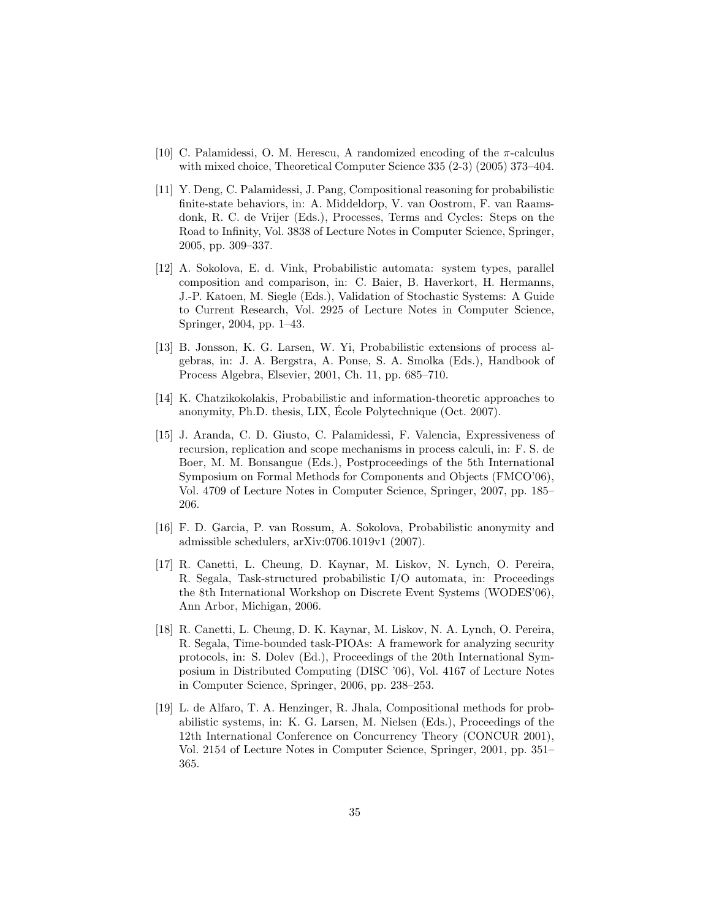- [10] C. Palamidessi, O. M. Herescu, A randomized encoding of the  $\pi$ -calculus with mixed choice, Theoretical Computer Science 335 (2-3) (2005) 373–404.
- [11] Y. Deng, C. Palamidessi, J. Pang, Compositional reasoning for probabilistic finite-state behaviors, in: A. Middeldorp, V. van Oostrom, F. van Raamsdonk, R. C. de Vrijer (Eds.), Processes, Terms and Cycles: Steps on the Road to Infinity, Vol. 3838 of Lecture Notes in Computer Science, Springer, 2005, pp. 309–337.
- [12] A. Sokolova, E. d. Vink, Probabilistic automata: system types, parallel composition and comparison, in: C. Baier, B. Haverkort, H. Hermanns, J.-P. Katoen, M. Siegle (Eds.), Validation of Stochastic Systems: A Guide to Current Research, Vol. 2925 of Lecture Notes in Computer Science, Springer, 2004, pp. 1–43.
- [13] B. Jonsson, K. G. Larsen, W. Yi, Probabilistic extensions of process algebras, in: J. A. Bergstra, A. Ponse, S. A. Smolka (Eds.), Handbook of Process Algebra, Elsevier, 2001, Ch. 11, pp. 685–710.
- [14] K. Chatzikokolakis, Probabilistic and information-theoretic approaches to anonymity, Ph.D. thesis, LIX, École Polytechnique (Oct. 2007).
- [15] J. Aranda, C. D. Giusto, C. Palamidessi, F. Valencia, Expressiveness of recursion, replication and scope mechanisms in process calculi, in: F. S. de Boer, M. M. Bonsangue (Eds.), Postproceedings of the 5th International Symposium on Formal Methods for Components and Objects (FMCO'06), Vol. 4709 of Lecture Notes in Computer Science, Springer, 2007, pp. 185– 206.
- [16] F. D. Garcia, P. van Rossum, A. Sokolova, Probabilistic anonymity and admissible schedulers, arXiv:0706.1019v1 (2007).
- [17] R. Canetti, L. Cheung, D. Kaynar, M. Liskov, N. Lynch, O. Pereira, R. Segala, Task-structured probabilistic I/O automata, in: Proceedings the 8th International Workshop on Discrete Event Systems (WODES'06), Ann Arbor, Michigan, 2006.
- [18] R. Canetti, L. Cheung, D. K. Kaynar, M. Liskov, N. A. Lynch, O. Pereira, R. Segala, Time-bounded task-PIOAs: A framework for analyzing security protocols, in: S. Dolev (Ed.), Proceedings of the 20th International Symposium in Distributed Computing (DISC '06), Vol. 4167 of Lecture Notes in Computer Science, Springer, 2006, pp. 238–253.
- [19] L. de Alfaro, T. A. Henzinger, R. Jhala, Compositional methods for probabilistic systems, in: K. G. Larsen, M. Nielsen (Eds.), Proceedings of the 12th International Conference on Concurrency Theory (CONCUR 2001), Vol. 2154 of Lecture Notes in Computer Science, Springer, 2001, pp. 351– 365.